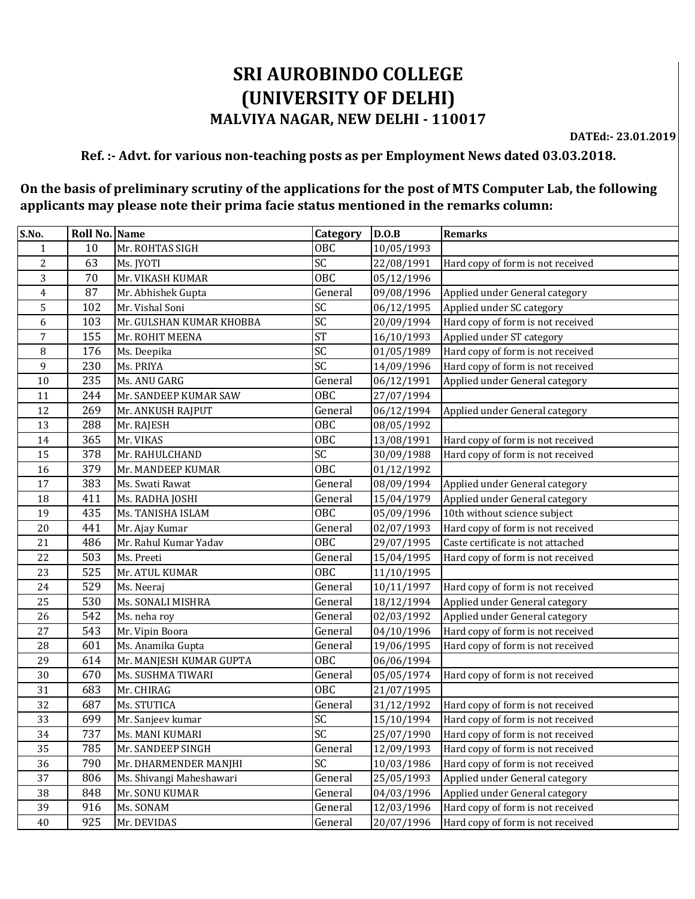## **SRI AUROBINDO COLLEGE (UNIVERSITY OF DELHI) MALVIYA NAGAR, NEW DELHI - 110017**

**DATEd:- 23.01.2019**

## **Ref. :- Advt. for various non-teaching posts as per Employment News dated 03.03.2018.**

## **On the basis of preliminary scrutiny of the applications for the post of MTS Computer Lab, the following applicants may please note their prima facie status mentioned in the remarks column:**

| S.No.          | Roll No. Name |                          | Category   | D.O.B      | <b>Remarks</b>                    |
|----------------|---------------|--------------------------|------------|------------|-----------------------------------|
| $\mathbf{1}$   | 10            | Mr. ROHTAS SIGH          | OBC        | 10/05/1993 |                                   |
| $\overline{2}$ | 63            | Ms. JYOTI                | SC         | 22/08/1991 | Hard copy of form is not received |
| 3              | 70            | Mr. VIKASH KUMAR         | <b>OBC</b> | 05/12/1996 |                                   |
| 4              | 87            | Mr. Abhishek Gupta       | General    | 09/08/1996 | Applied under General category    |
| 5              | 102           | Mr. Vishal Soni          | SC         | 06/12/1995 | Applied under SC category         |
| 6              | 103           | Mr. GULSHAN KUMAR KHOBBA | SC         | 20/09/1994 | Hard copy of form is not received |
| 7              | 155           | Mr. ROHIT MEENA          | <b>ST</b>  | 16/10/1993 | Applied under ST category         |
| 8              | 176           | Ms. Deepika              | SC         | 01/05/1989 | Hard copy of form is not received |
| 9              | 230           | Ms. PRIYA                | SC         | 14/09/1996 | Hard copy of form is not received |
| 10             | 235           | Ms. ANU GARG             | General    | 06/12/1991 | Applied under General category    |
| 11             | 244           | Mr. SANDEEP KUMAR SAW    | <b>OBC</b> | 27/07/1994 |                                   |
| 12             | 269           | Mr. ANKUSH RAJPUT        | General    | 06/12/1994 | Applied under General category    |
| 13             | 288           | Mr. RAJESH               | <b>OBC</b> | 08/05/1992 |                                   |
| 14             | 365           | Mr. VIKAS                | <b>OBC</b> | 13/08/1991 | Hard copy of form is not received |
| 15             | 378           | Mr. RAHULCHAND           | SC         | 30/09/1988 | Hard copy of form is not received |
| 16             | 379           | Mr. MANDEEP KUMAR        | OBC        | 01/12/1992 |                                   |
| 17             | 383           | Ms. Swati Rawat          | General    | 08/09/1994 | Applied under General category    |
| 18             | 411           | Ms. RADHA JOSHI          | General    | 15/04/1979 | Applied under General category    |
| 19             | 435           | Ms. TANISHA ISLAM        | <b>OBC</b> | 05/09/1996 | 10th without science subject      |
| 20             | 441           | Mr. Ajay Kumar           | General    | 02/07/1993 | Hard copy of form is not received |
| 21             | 486           | Mr. Rahul Kumar Yadav    | <b>OBC</b> | 29/07/1995 | Caste certificate is not attached |
| 22             | 503           | Ms. Preeti               | General    | 15/04/1995 | Hard copy of form is not received |
| 23             | 525           | Mr. ATUL KUMAR           | OBC        | 11/10/1995 |                                   |
| 24             | 529           | Ms. Neeraj               | General    | 10/11/1997 | Hard copy of form is not received |
| 25             | 530           | Ms. SONALI MISHRA        | General    | 18/12/1994 | Applied under General category    |
| 26             | 542           | Ms. neha roy             | General    | 02/03/1992 | Applied under General category    |
| 27             | 543           | Mr. Vipin Boora          | General    | 04/10/1996 | Hard copy of form is not received |
| 28             | 601           | Ms. Anamika Gupta        | General    | 19/06/1995 | Hard copy of form is not received |
| 29             | 614           | Mr. MANJESH KUMAR GUPTA  | <b>OBC</b> | 06/06/1994 |                                   |
| 30             | 670           | Ms. SUSHMA TIWARI        | General    | 05/05/1974 | Hard copy of form is not received |
| 31             | 683           | Mr. CHIRAG               | OBC        | 21/07/1995 |                                   |
| 32             | 687           | Ms. STUTICA              | General    | 31/12/1992 | Hard copy of form is not received |
| 33             | 699           | Mr. Sanjeev kumar        | SC         | 15/10/1994 | Hard copy of form is not received |
| 34             | 737           | Ms. MANI KUMARI          | SC         | 25/07/1990 | Hard copy of form is not received |
| 35             | 785           | Mr. SANDEEP SINGH        | General    | 12/09/1993 | Hard copy of form is not received |
| 36             | 790           | Mr. DHARMENDER MANJHI    | SC         | 10/03/1986 | Hard copy of form is not received |
| 37             | 806           | Ms. Shivangi Maheshawari | General    | 25/05/1993 | Applied under General category    |
| 38             | 848           | Mr. SONU KUMAR           | General    | 04/03/1996 | Applied under General category    |
| 39             | 916           | Ms. SONAM                | General    | 12/03/1996 | Hard copy of form is not received |
| 40             | 925           | Mr. DEVIDAS              | General    | 20/07/1996 | Hard copy of form is not received |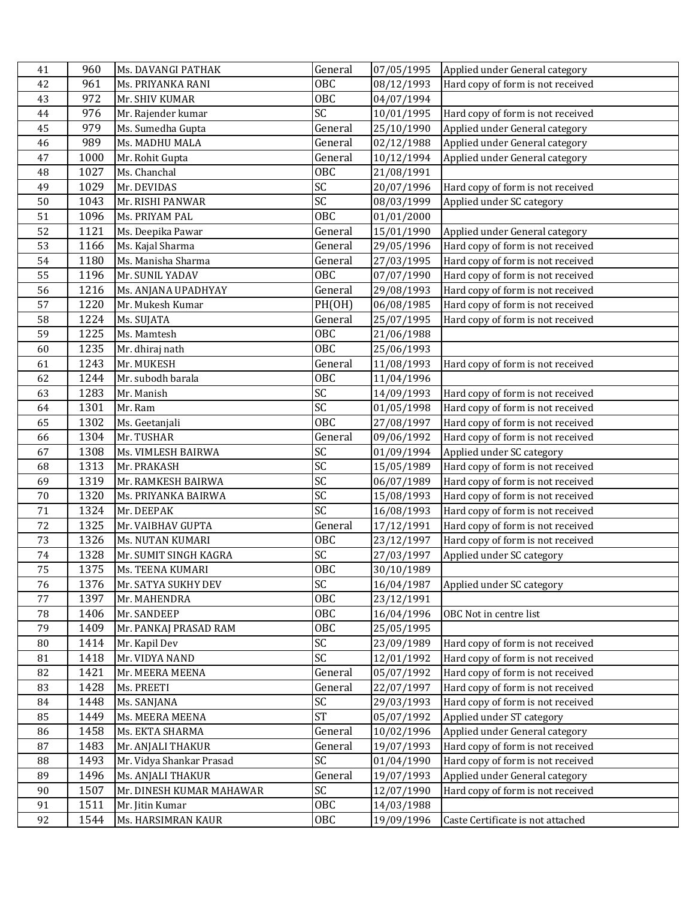| 41       | 960          | Ms. DAVANGI PATHAK                            | General       | 07/05/1995               | Applied under General category                                         |
|----------|--------------|-----------------------------------------------|---------------|--------------------------|------------------------------------------------------------------------|
| 42       | 961          | Ms. PRIYANKA RANI                             | <b>OBC</b>    | 08/12/1993               | Hard copy of form is not received                                      |
| 43       | 972          | Mr. SHIV KUMAR                                | OBC           | 04/07/1994               |                                                                        |
| 44       | 976          | Mr. Rajender kumar                            | SC            | 10/01/1995               | Hard copy of form is not received                                      |
| 45       | 979          | Ms. Sumedha Gupta                             | General       | 25/10/1990               | Applied under General category                                         |
| 46       | 989          | Ms. MADHU MALA                                | General       | 02/12/1988               | Applied under General category                                         |
| 47       | 1000         | Mr. Rohit Gupta                               | General       | 10/12/1994               | Applied under General category                                         |
| 48       | 1027         | Ms. Chanchal                                  | <b>OBC</b>    | 21/08/1991               |                                                                        |
| 49       | 1029         | Mr. DEVIDAS                                   | SC            | 20/07/1996               | Hard copy of form is not received                                      |
| 50       | 1043         | Mr. RISHI PANWAR                              | SC            | 08/03/1999               | Applied under SC category                                              |
| 51       | 1096         | Ms. PRIYAM PAL                                | <b>OBC</b>    | 01/01/2000               |                                                                        |
| 52       | 1121         | Ms. Deepika Pawar                             | General       | 15/01/1990               | Applied under General category                                         |
| 53       | 1166         | Ms. Kajal Sharma                              | General       | 29/05/1996               | Hard copy of form is not received                                      |
| 54       | 1180         | Ms. Manisha Sharma                            | General       | 27/03/1995               | Hard copy of form is not received                                      |
| 55       | 1196         | Mr. SUNIL YADAV                               | <b>OBC</b>    | 07/07/1990               | Hard copy of form is not received                                      |
| 56       | 1216         | Ms. ANJANA UPADHYAY                           | General       | 29/08/1993               | Hard copy of form is not received                                      |
| 57       | 1220         | Mr. Mukesh Kumar                              | PH(OH)        | 06/08/1985               | Hard copy of form is not received                                      |
| 58       | 1224         | Ms. SUJATA                                    | General       | 25/07/1995               | Hard copy of form is not received                                      |
| 59       | 1225         | Ms. Mamtesh                                   | <b>OBC</b>    | 21/06/1988               |                                                                        |
| 60       | 1235         | Mr. dhiraj nath                               | <b>OBC</b>    | 25/06/1993               |                                                                        |
| 61       | 1243         | Mr. MUKESH                                    | General       | 11/08/1993               | Hard copy of form is not received                                      |
| 62       | 1244         | Mr. subodh barala                             | <b>OBC</b>    | 11/04/1996               |                                                                        |
| 63       | 1283         | Mr. Manish                                    | SC            | 14/09/1993               | Hard copy of form is not received                                      |
| 64       | 1301         | Mr. Ram                                       | SC            | 01/05/1998               | Hard copy of form is not received                                      |
| 65       | 1302         | Ms. Geetanjali                                | <b>OBC</b>    | 27/08/1997               | Hard copy of form is not received                                      |
| 66       | 1304         | Mr. TUSHAR                                    | General       | 09/06/1992               | Hard copy of form is not received                                      |
| 67       | 1308         | Ms. VIMLESH BAIRWA                            | SC            | 01/09/1994               | Applied under SC category                                              |
| 68       | 1313         | Mr. PRAKASH                                   | SC            | 15/05/1989               | Hard copy of form is not received                                      |
| 69       | 1319         | Mr. RAMKESH BAIRWA                            | SC            | 06/07/1989               | Hard copy of form is not received                                      |
| 70       | 1320         | Ms. PRIYANKA BAIRWA                           | SC            | 15/08/1993               | Hard copy of form is not received                                      |
| 71       | 1324         | Mr. DEEPAK                                    | SC            | 16/08/1993               | Hard copy of form is not received                                      |
| 72       | 1325         | Mr. VAIBHAV GUPTA                             | General       | 17/12/1991               | Hard copy of form is not received                                      |
| 73       | 1326         | Ms. NUTAN KUMARI                              | OBC           | 23/12/1997               | Hard copy of form is not received                                      |
| 74       | 1328         | Mr. SUMIT SINGH KAGRA                         | SC            | 27/03/1997               | Applied under SC category                                              |
| 75       | 1375         | Ms. TEENA KUMARI                              | <b>OBC</b>    | 30/10/1989               |                                                                        |
| 76       | 1376         | Mr. SATYA SUKHY DEV                           | SC            | 16/04/1987               | Applied under SC category                                              |
| 77       | 1397         | Mr. MAHENDRA                                  | <b>OBC</b>    | 23/12/1991               |                                                                        |
| 78       | 1406         | Mr. SANDEEP                                   | <b>OBC</b>    | 16/04/1996               | OBC Not in centre list                                                 |
| 79       | 1409         | Mr. PANKAJ PRASAD RAM                         | 0BC           | 25/05/1995               |                                                                        |
| 80       | 1414         | Mr. Kapil Dev                                 | SC            | 23/09/1989               | Hard copy of form is not received                                      |
| 81       | 1418         | Mr. VIDYA NAND                                | SC            | 12/01/1992               | Hard copy of form is not received                                      |
| 82       | 1421         | Mr. MEERA MEENA                               | General       | 05/07/1992               | Hard copy of form is not received                                      |
| 83       | 1428         | Ms. PREETI                                    | General<br>SC | 22/07/1997               | Hard copy of form is not received                                      |
| 84       | 1448         | Ms. SANJANA                                   |               | 29/03/1993               | Hard copy of form is not received                                      |
| 85       | 1449         | Ms. MEERA MEENA                               | <b>ST</b>     | 05/07/1992               | Applied under ST category                                              |
| 86       | 1458<br>1483 | Ms. EKTA SHARMA                               | General       | 10/02/1996               | Applied under General category                                         |
| 87<br>88 | 1493         | Mr. ANJALI THAKUR                             | General<br>SC | 19/07/1993<br>01/04/1990 | Hard copy of form is not received<br>Hard copy of form is not received |
| 89       | 1496         | Mr. Vidya Shankar Prasad<br>Ms. ANJALI THAKUR | General       | 19/07/1993               | Applied under General category                                         |
| 90       | 1507         | Mr. DINESH KUMAR MAHAWAR                      | SC            | 12/07/1990               | Hard copy of form is not received                                      |
| 91       | 1511         | Mr. Jitin Kumar                               | OBC           | 14/03/1988               |                                                                        |
| 92       | 1544         | Ms. HARSIMRAN KAUR                            | OBC           | 19/09/1996               | Caste Certificate is not attached                                      |
|          |              |                                               |               |                          |                                                                        |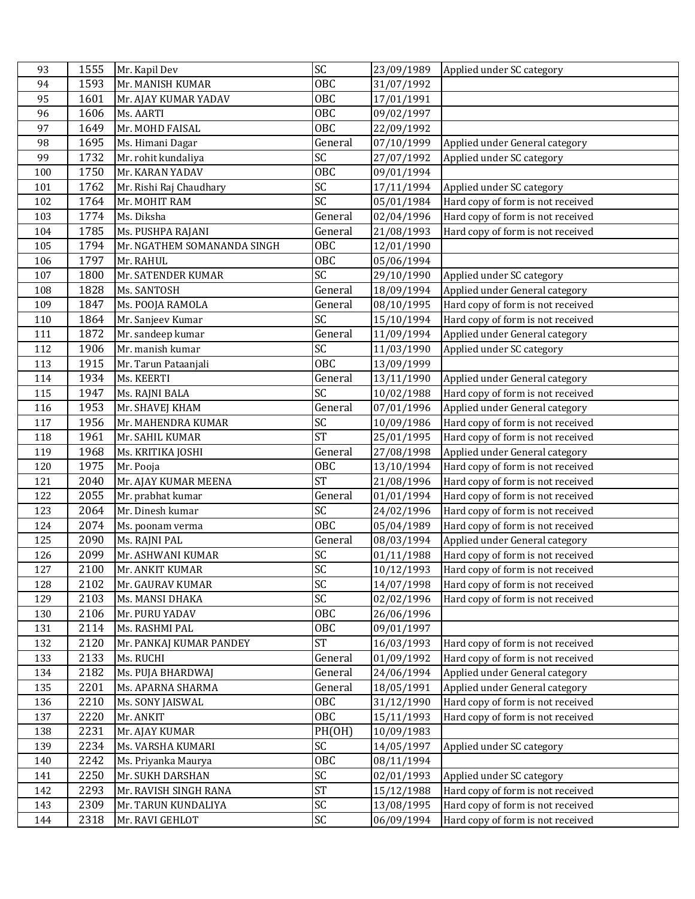| 93  | 1555 | Mr. Kapil Dev               | SC              | 23/09/1989 | Applied under SC category         |
|-----|------|-----------------------------|-----------------|------------|-----------------------------------|
| 94  | 1593 | Mr. MANISH KUMAR            | OBC             | 31/07/1992 |                                   |
| 95  | 1601 | Mr. AJAY KUMAR YADAV        | <b>OBC</b>      | 17/01/1991 |                                   |
| 96  | 1606 | Ms. AARTI                   | <b>OBC</b>      | 09/02/1997 |                                   |
| 97  | 1649 | Mr. MOHD FAISAL             | <b>OBC</b>      | 22/09/1992 |                                   |
| 98  | 1695 | Ms. Himani Dagar            | General         | 07/10/1999 | Applied under General category    |
| 99  | 1732 | Mr. rohit kundaliya         | SC              | 27/07/1992 | Applied under SC category         |
| 100 | 1750 | Mr. KARAN YADAV             | OBC             | 09/01/1994 |                                   |
| 101 | 1762 | Mr. Rishi Raj Chaudhary     | SC              | 17/11/1994 | Applied under SC category         |
| 102 | 1764 | Mr. MOHIT RAM               | SC              | 05/01/1984 | Hard copy of form is not received |
| 103 | 1774 | Ms. Diksha                  | General         | 02/04/1996 | Hard copy of form is not received |
| 104 | 1785 | Ms. PUSHPA RAJANI           | General         | 21/08/1993 | Hard copy of form is not received |
| 105 | 1794 | Mr. NGATHEM SOMANANDA SINGH | <b>OBC</b>      | 12/01/1990 |                                   |
| 106 | 1797 | Mr. RAHUL                   | OBC             | 05/06/1994 |                                   |
| 107 | 1800 | Mr. SATENDER KUMAR          | SC              | 29/10/1990 | Applied under SC category         |
| 108 | 1828 | Ms. SANTOSH                 | General         | 18/09/1994 | Applied under General category    |
| 109 | 1847 | Ms. POOJA RAMOLA            | General         | 08/10/1995 | Hard copy of form is not received |
| 110 | 1864 | Mr. Sanjeev Kumar           | $\overline{SC}$ | 15/10/1994 | Hard copy of form is not received |
| 111 | 1872 | Mr. sandeep kumar           | General         | 11/09/1994 | Applied under General category    |
| 112 | 1906 | Mr. manish kumar            | SC              | 11/03/1990 | Applied under SC category         |
| 113 | 1915 | Mr. Tarun Pataanjali        | OBC             | 13/09/1999 |                                   |
| 114 | 1934 | Ms. KEERTI                  | General         | 13/11/1990 | Applied under General category    |
| 115 | 1947 | Ms. RAJNI BALA              | SC              | 10/02/1988 | Hard copy of form is not received |
| 116 | 1953 | Mr. SHAVEJ KHAM             | General         | 07/01/1996 | Applied under General category    |
| 117 | 1956 | Mr. MAHENDRA KUMAR          | $\overline{SC}$ | 10/09/1986 | Hard copy of form is not received |
| 118 | 1961 | Mr. SAHIL KUMAR             | <b>ST</b>       | 25/01/1995 | Hard copy of form is not received |
| 119 | 1968 | Ms. KRITIKA JOSHI           | General         | 27/08/1998 | Applied under General category    |
| 120 | 1975 | Mr. Pooja                   | <b>OBC</b>      | 13/10/1994 | Hard copy of form is not received |
| 121 | 2040 | Mr. AJAY KUMAR MEENA        | <b>ST</b>       | 21/08/1996 | Hard copy of form is not received |
| 122 | 2055 | Mr. prabhat kumar           | General         | 01/01/1994 | Hard copy of form is not received |
| 123 | 2064 | Mr. Dinesh kumar            | SC              | 24/02/1996 | Hard copy of form is not received |
| 124 | 2074 | Ms. poonam verma            | OBC             | 05/04/1989 | Hard copy of form is not received |
| 125 | 2090 | Ms. RAJNI PAL               | General         | 08/03/1994 | Applied under General category    |
| 126 | 2099 | Mr. ASHWANI KUMAR           | SC              | 01/11/1988 | Hard copy of form is not received |
| 127 | 2100 | Mr. ANKIT KUMAR             | SC              | 10/12/1993 | Hard copy of form is not received |
| 128 | 2102 | Mr. GAURAV KUMAR            | $\overline{SC}$ | 14/07/1998 | Hard copy of form is not received |
| 129 | 2103 | Ms. MANSI DHAKA             | SC              | 02/02/1996 | Hard copy of form is not received |
| 130 | 2106 | Mr. PURU YADAV              | 0BC             | 26/06/1996 |                                   |
| 131 | 2114 | Ms. RASHMI PAL              | OBC             | 09/01/1997 |                                   |
| 132 | 2120 | Mr. PANKAJ KUMAR PANDEY     | <b>ST</b>       | 16/03/1993 | Hard copy of form is not received |
| 133 | 2133 | Ms. RUCHI                   | General         | 01/09/1992 | Hard copy of form is not received |
| 134 | 2182 | Ms. PUJA BHARDWAJ           | General         | 24/06/1994 | Applied under General category    |
| 135 | 2201 | Ms. APARNA SHARMA           | General         | 18/05/1991 | Applied under General category    |
| 136 | 2210 | Ms. SONY JAISWAL            | OBC             | 31/12/1990 | Hard copy of form is not received |
| 137 | 2220 | Mr. ANKIT                   | 0BC             | 15/11/1993 | Hard copy of form is not received |
| 138 | 2231 | Mr. AJAY KUMAR              | PH(OH)          | 10/09/1983 |                                   |
| 139 | 2234 | Ms. VARSHA KUMARI           | SC              | 14/05/1997 | Applied under SC category         |
| 140 | 2242 | Ms. Priyanka Maurya         | OBC             | 08/11/1994 |                                   |
| 141 | 2250 | Mr. SUKH DARSHAN            | SC              | 02/01/1993 | Applied under SC category         |
| 142 | 2293 | Mr. RAVISH SINGH RANA       | <b>ST</b>       | 15/12/1988 | Hard copy of form is not received |
| 143 | 2309 | Mr. TARUN KUNDALIYA         | SC              | 13/08/1995 | Hard copy of form is not received |
| 144 | 2318 | Mr. RAVI GEHLOT             | SC              | 06/09/1994 | Hard copy of form is not received |
|     |      |                             |                 |            |                                   |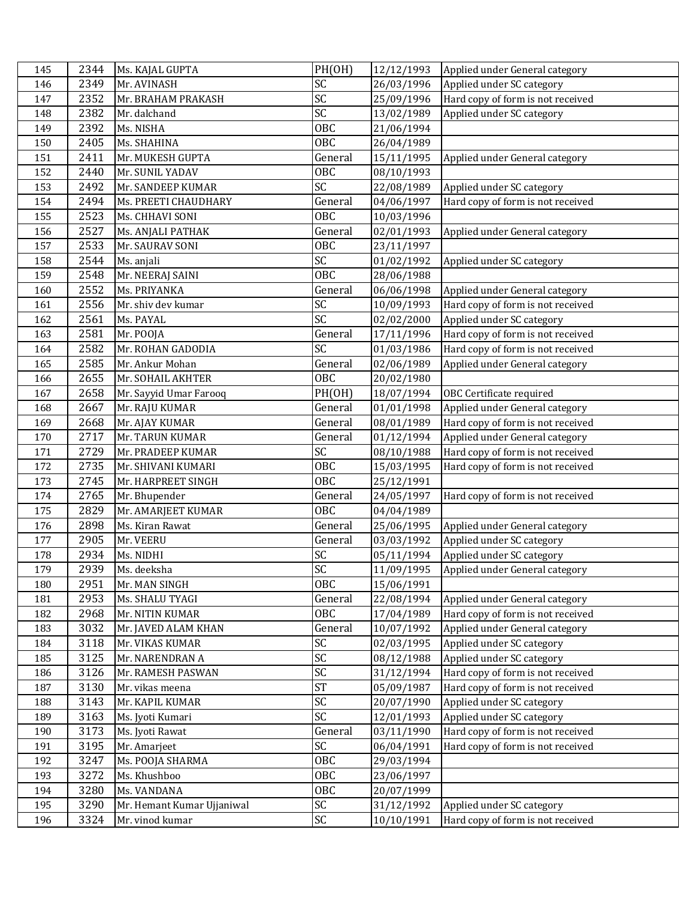| 145 | 2344 | Ms. KAJAL GUPTA            | PH(OH)                 | 12/12/1993 | Applied under General category    |
|-----|------|----------------------------|------------------------|------------|-----------------------------------|
| 146 | 2349 | Mr. AVINASH                | SC                     | 26/03/1996 | Applied under SC category         |
| 147 | 2352 | Mr. BRAHAM PRAKASH         | SC                     | 25/09/1996 | Hard copy of form is not received |
| 148 | 2382 | Mr. dalchand               | SC                     | 13/02/1989 | Applied under SC category         |
| 149 | 2392 | Ms. NISHA                  | <b>OBC</b>             | 21/06/1994 |                                   |
| 150 | 2405 | Ms. SHAHINA                | <b>OBC</b>             | 26/04/1989 |                                   |
| 151 | 2411 | Mr. MUKESH GUPTA           | General                | 15/11/1995 | Applied under General category    |
| 152 | 2440 | Mr. SUNIL YADAV            | OBC                    | 08/10/1993 |                                   |
| 153 | 2492 | Mr. SANDEEP KUMAR          | SC                     | 22/08/1989 | Applied under SC category         |
| 154 | 2494 | Ms. PREETI CHAUDHARY       | General                | 04/06/1997 | Hard copy of form is not received |
| 155 | 2523 | Ms. CHHAVI SONI            | OBC                    | 10/03/1996 |                                   |
| 156 | 2527 | Ms. ANJALI PATHAK          | General                | 02/01/1993 | Applied under General category    |
| 157 | 2533 | Mr. SAURAV SONI            | <b>OBC</b>             | 23/11/1997 |                                   |
| 158 | 2544 | Ms. anjali                 | SC                     | 01/02/1992 | Applied under SC category         |
| 159 | 2548 | Mr. NEERAJ SAINI           | OBC                    | 28/06/1988 |                                   |
| 160 | 2552 | Ms. PRIYANKA               | General                | 06/06/1998 | Applied under General category    |
| 161 | 2556 | Mr. shiv dev kumar         | SC                     | 10/09/1993 | Hard copy of form is not received |
| 162 | 2561 | Ms. PAYAL                  | $\overline{\text{SC}}$ | 02/02/2000 | Applied under SC category         |
| 163 | 2581 | Mr. POOJA                  | General                | 17/11/1996 | Hard copy of form is not received |
| 164 | 2582 | Mr. ROHAN GADODIA          | SC                     | 01/03/1986 | Hard copy of form is not received |
| 165 | 2585 | Mr. Ankur Mohan            | General                | 02/06/1989 | Applied under General category    |
| 166 | 2655 | Mr. SOHAIL AKHTER          | OBC                    | 20/02/1980 |                                   |
| 167 | 2658 | Mr. Sayyid Umar Farooq     | PH(OH)                 | 18/07/1994 | OBC Certificate required          |
| 168 | 2667 | Mr. RAJU KUMAR             | General                | 01/01/1998 | Applied under General category    |
| 169 | 2668 | Mr. AJAY KUMAR             | General                | 08/01/1989 | Hard copy of form is not received |
| 170 | 2717 | Mr. TARUN KUMAR            | General                | 01/12/1994 | Applied under General category    |
| 171 | 2729 | Mr. PRADEEP KUMAR          | SC                     | 08/10/1988 | Hard copy of form is not received |
| 172 | 2735 | Mr. SHIVANI KUMARI         | OBC                    | 15/03/1995 | Hard copy of form is not received |
| 173 | 2745 | Mr. HARPREET SINGH         | <b>OBC</b>             | 25/12/1991 |                                   |
| 174 | 2765 | Mr. Bhupender              | General                | 24/05/1997 | Hard copy of form is not received |
| 175 | 2829 | Mr. AMARJEET KUMAR         | OBC                    | 04/04/1989 |                                   |
| 176 | 2898 | Ms. Kiran Rawat            | General                | 25/06/1995 | Applied under General category    |
| 177 | 2905 | Mr. VEERU                  | General                | 03/03/1992 | Applied under SC category         |
| 178 | 2934 | Ms. NIDHI                  | SC                     | 05/11/1994 | Applied under SC category         |
| 179 | 2939 | Ms. deeksha                | $\overline{SC}$        | 11/09/1995 | Applied under General category    |
| 180 | 2951 | Mr. MAN SINGH              | <b>OBC</b>             | 15/06/1991 |                                   |
| 181 | 2953 | Ms. SHALU TYAGI            | General                | 22/08/1994 | Applied under General category    |
| 182 | 2968 | Mr. NITIN KUMAR            | OBC                    | 17/04/1989 | Hard copy of form is not received |
| 183 | 3032 | Mr. JAVED ALAM KHAN        | General                | 10/07/1992 | Applied under General category    |
| 184 | 3118 | Mr. VIKAS KUMAR            | SC                     | 02/03/1995 | Applied under SC category         |
| 185 | 3125 | Mr. NARENDRAN A            | SC                     | 08/12/1988 | Applied under SC category         |
| 186 | 3126 | Mr. RAMESH PASWAN          | SC<br><b>ST</b>        | 31/12/1994 | Hard copy of form is not received |
| 187 | 3130 | Mr. vikas meena            |                        | 05/09/1987 | Hard copy of form is not received |
| 188 | 3143 | Mr. KAPIL KUMAR            | $\overline{SC}$<br>SC  | 20/07/1990 | Applied under SC category         |
| 189 | 3163 | Ms. Jyoti Kumari           |                        | 12/01/1993 | Applied under SC category         |
| 190 | 3173 | Ms. Jyoti Rawat            | General                | 03/11/1990 | Hard copy of form is not received |
| 191 | 3195 | Mr. Amarjeet               | SC                     | 06/04/1991 | Hard copy of form is not received |
| 192 | 3247 | Ms. POOJA SHARMA           | OBC<br>OBC             | 29/03/1994 |                                   |
| 193 | 3272 | Ms. Khushboo               |                        | 23/06/1997 |                                   |
| 194 | 3280 | Ms. VANDANA                | <b>OBC</b>             | 20/07/1999 |                                   |
| 195 | 3290 | Mr. Hemant Kumar Ujjaniwal | SC                     | 31/12/1992 | Applied under SC category         |
| 196 | 3324 | Mr. vinod kumar            | SC                     | 10/10/1991 | Hard copy of form is not received |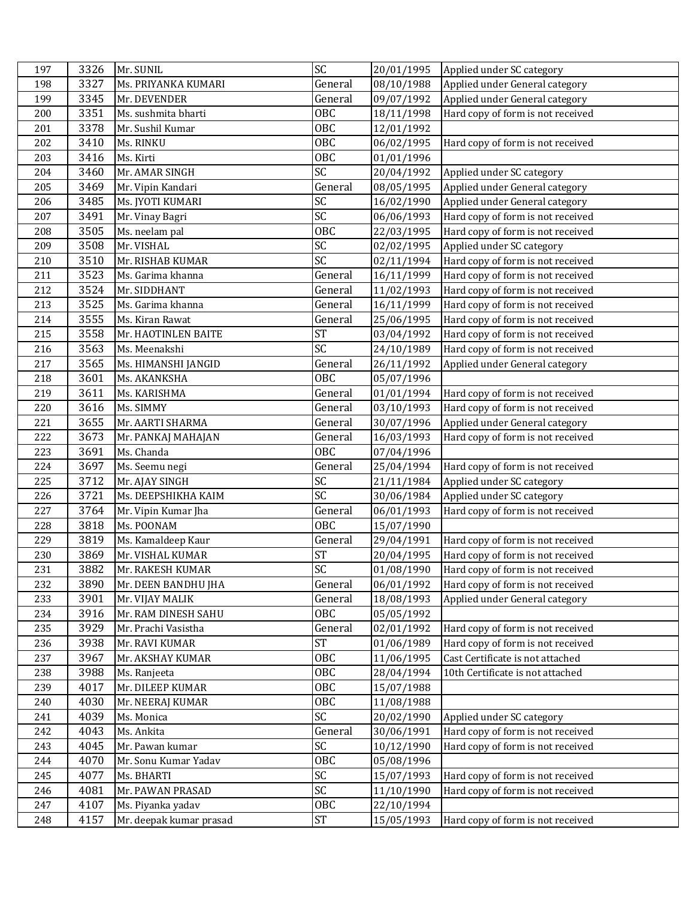| 197 | 3326 | Mr. SUNIL               | SC              | 20/01/1995 | Applied under SC category         |
|-----|------|-------------------------|-----------------|------------|-----------------------------------|
| 198 | 3327 | Ms. PRIYANKA KUMARI     | General         | 08/10/1988 | Applied under General category    |
| 199 | 3345 | Mr. DEVENDER            | General         | 09/07/1992 | Applied under General category    |
| 200 | 3351 | Ms. sushmita bharti     | OBC             | 18/11/1998 | Hard copy of form is not received |
| 201 | 3378 | Mr. Sushil Kumar        | OBC             | 12/01/1992 |                                   |
| 202 | 3410 | Ms. RINKU               | <b>OBC</b>      | 06/02/1995 | Hard copy of form is not received |
| 203 | 3416 | Ms. Kirti               | <b>OBC</b>      | 01/01/1996 |                                   |
| 204 | 3460 | Mr. AMAR SINGH          | SC              | 20/04/1992 | Applied under SC category         |
| 205 | 3469 | Mr. Vipin Kandari       | General         | 08/05/1995 | Applied under General category    |
| 206 | 3485 | Ms. JYOTI KUMARI        | SC              | 16/02/1990 | Applied under General category    |
| 207 | 3491 | Mr. Vinay Bagri         | $\overline{SC}$ | 06/06/1993 | Hard copy of form is not received |
| 208 | 3505 | Ms. neelam pal          | OBC             | 22/03/1995 | Hard copy of form is not received |
| 209 | 3508 | Mr. VISHAL              | SC              | 02/02/1995 | Applied under SC category         |
| 210 | 3510 | Mr. RISHAB KUMAR        | SC              | 02/11/1994 | Hard copy of form is not received |
| 211 | 3523 | Ms. Garima khanna       | General         | 16/11/1999 | Hard copy of form is not received |
| 212 | 3524 | Mr. SIDDHANT            | General         | 11/02/1993 | Hard copy of form is not received |
| 213 | 3525 | Ms. Garima khanna       | General         | 16/11/1999 | Hard copy of form is not received |
| 214 | 3555 | Ms. Kiran Rawat         | General         | 25/06/1995 | Hard copy of form is not received |
| 215 | 3558 | Mr. HAOTINLEN BAITE     | <b>ST</b>       | 03/04/1992 | Hard copy of form is not received |
| 216 | 3563 | Ms. Meenakshi           | SC              | 24/10/1989 | Hard copy of form is not received |
| 217 | 3565 | Ms. HIMANSHI JANGID     | General         | 26/11/1992 | Applied under General category    |
| 218 | 3601 | Ms. AKANKSHA            | <b>OBC</b>      | 05/07/1996 |                                   |
| 219 | 3611 | Ms. KARISHMA            | General         | 01/01/1994 | Hard copy of form is not received |
| 220 | 3616 | Ms. SIMMY               | General         | 03/10/1993 | Hard copy of form is not received |
| 221 | 3655 | Mr. AARTI SHARMA        | General         | 30/07/1996 | Applied under General category    |
| 222 | 3673 | Mr. PANKAJ MAHAJAN      | General         | 16/03/1993 | Hard copy of form is not received |
| 223 | 3691 | Ms. Chanda              | <b>OBC</b>      | 07/04/1996 |                                   |
| 224 | 3697 | Ms. Seemu negi          | General         | 25/04/1994 | Hard copy of form is not received |
| 225 | 3712 | Mr. AJAY SINGH          | SC              | 21/11/1984 | Applied under SC category         |
| 226 | 3721 | Ms. DEEPSHIKHA KAIM     | $\overline{SC}$ | 30/06/1984 | Applied under SC category         |
| 227 | 3764 | Mr. Vipin Kumar Jha     | General         | 06/01/1993 | Hard copy of form is not received |
| 228 | 3818 | Ms. POONAM              | <b>OBC</b>      | 15/07/1990 |                                   |
| 229 | 3819 | Ms. Kamaldeep Kaur      | General         | 29/04/1991 | Hard copy of form is not received |
| 230 | 3869 | Mr. VISHAL KUMAR        | <b>ST</b>       | 20/04/1995 | Hard copy of form is not received |
| 231 | 3882 | Mr. RAKESH KUMAR        | SC              | 01/08/1990 | Hard copy of form is not received |
| 232 | 3890 | Mr. DEEN BANDHU JHA     | General         | 06/01/1992 | Hard copy of form is not received |
| 233 | 3901 | Mr. VIJAY MALIK         | General         | 18/08/1993 | Applied under General category    |
| 234 | 3916 | Mr. RAM DINESH SAHU     | 0BC             | 05/05/1992 |                                   |
| 235 | 3929 | Mr. Prachi Vasistha     | General         | 02/01/1992 | Hard copy of form is not received |
| 236 | 3938 | Mr. RAVI KUMAR          | <b>ST</b>       | 01/06/1989 | Hard copy of form is not received |
| 237 | 3967 | Mr. AKSHAY KUMAR        | 0BC             | 11/06/1995 | Cast Certificate is not attached  |
| 238 | 3988 | Ms. Ranjeeta            | 0BC             | 28/04/1994 | 10th Certificate is not attached  |
| 239 | 4017 | Mr. DILEEP KUMAR        | <b>OBC</b>      | 15/07/1988 |                                   |
| 240 | 4030 | Mr. NEERAJ KUMAR        | OBC             | 11/08/1988 |                                   |
| 241 | 4039 | Ms. Monica              | SC              | 20/02/1990 | Applied under SC category         |
| 242 | 4043 | Ms. Ankita              | General         | 30/06/1991 | Hard copy of form is not received |
| 243 | 4045 | Mr. Pawan kumar         | SC              | 10/12/1990 | Hard copy of form is not received |
| 244 | 4070 | Mr. Sonu Kumar Yadav    | <b>OBC</b>      | 05/08/1996 |                                   |
| 245 | 4077 | Ms. BHARTI              | SC              | 15/07/1993 | Hard copy of form is not received |
| 246 | 4081 | Mr. PAWAN PRASAD        | SC              | 11/10/1990 | Hard copy of form is not received |
| 247 | 4107 | Ms. Piyanka yadav       | OBC             | 22/10/1994 |                                   |
| 248 | 4157 | Mr. deepak kumar prasad | $\mbox{ST}$     | 15/05/1993 | Hard copy of form is not received |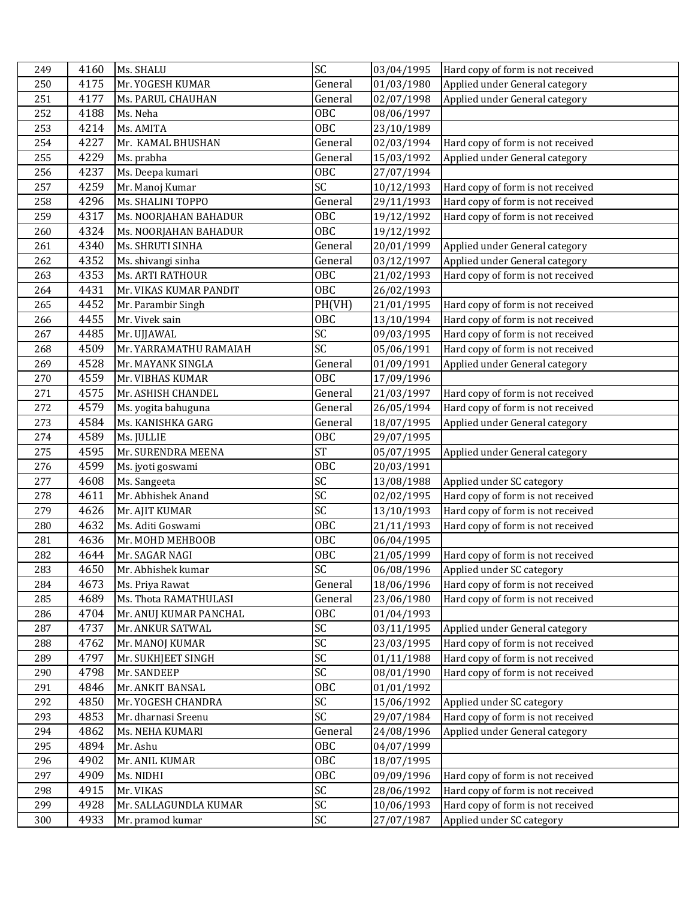| 249 |      |                          |                 |            |                                   |
|-----|------|--------------------------|-----------------|------------|-----------------------------------|
|     | 4160 | Ms. SHALU                | SC              | 03/04/1995 | Hard copy of form is not received |
| 250 | 4175 | Mr. YOGESH KUMAR         | General         | 01/03/1980 | Applied under General category    |
| 251 | 4177 | <b>Ms. PARUL CHAUHAN</b> | General         | 02/07/1998 | Applied under General category    |
| 252 | 4188 | Ms. Neha                 | <b>OBC</b>      | 08/06/1997 |                                   |
| 253 | 4214 | Ms. AMITA                | OBC             | 23/10/1989 |                                   |
| 254 | 4227 | Mr. KAMAL BHUSHAN        | General         | 02/03/1994 | Hard copy of form is not received |
| 255 | 4229 | Ms. prabha               | General         | 15/03/1992 | Applied under General category    |
| 256 | 4237 | Ms. Deepa kumari         | OBC             | 27/07/1994 |                                   |
| 257 | 4259 | Mr. Manoj Kumar          | SC              | 10/12/1993 | Hard copy of form is not received |
| 258 | 4296 | Ms. SHALINI TOPPO        | General         | 29/11/1993 | Hard copy of form is not received |
| 259 | 4317 | Ms. NOORJAHAN BAHADUR    | <b>OBC</b>      | 19/12/1992 | Hard copy of form is not received |
| 260 | 4324 | Ms. NOORJAHAN BAHADUR    | <b>OBC</b>      | 19/12/1992 |                                   |
| 261 | 4340 | Ms. SHRUTI SINHA         | General         | 20/01/1999 | Applied under General category    |
| 262 | 4352 | Ms. shivangi sinha       | General         | 03/12/1997 | Applied under General category    |
| 263 | 4353 | <b>Ms. ARTI RATHOUR</b>  | OBC             | 21/02/1993 | Hard copy of form is not received |
| 264 | 4431 | Mr. VIKAS KUMAR PANDIT   | <b>OBC</b>      | 26/02/1993 |                                   |
| 265 | 4452 | Mr. Parambir Singh       | PH(VH)          | 21/01/1995 | Hard copy of form is not received |
| 266 | 4455 | Mr. Vivek sain           | OBC             | 13/10/1994 | Hard copy of form is not received |
| 267 | 4485 | Mr. UJJAWAL              | $\overline{SC}$ | 09/03/1995 | Hard copy of form is not received |
| 268 | 4509 | Mr. YARRAMATHU RAMAIAH   | SC              | 05/06/1991 | Hard copy of form is not received |
| 269 | 4528 | Mr. MAYANK SINGLA        | General         | 01/09/1991 | Applied under General category    |
| 270 | 4559 | Mr. VIBHAS KUMAR         | <b>OBC</b>      | 17/09/1996 |                                   |
| 271 | 4575 | Mr. ASHISH CHANDEL       | General         | 21/03/1997 | Hard copy of form is not received |
| 272 | 4579 | Ms. yogita bahuguna      | General         | 26/05/1994 | Hard copy of form is not received |
| 273 | 4584 | Ms. KANISHKA GARG        | General         | 18/07/1995 | Applied under General category    |
| 274 | 4589 | Ms. JULLIE               | <b>OBC</b>      | 29/07/1995 |                                   |
| 275 | 4595 | Mr. SURENDRA MEENA       | <b>ST</b>       | 05/07/1995 | Applied under General category    |
| 276 | 4599 | Ms. jyoti goswami        | OBC             | 20/03/1991 |                                   |
|     |      |                          |                 |            |                                   |
| 277 | 4608 | Ms. Sangeeta             | SC              | 13/08/1988 | Applied under SC category         |
| 278 | 4611 | Mr. Abhishek Anand       | SC              | 02/02/1995 | Hard copy of form is not received |
| 279 | 4626 | Mr. AJIT KUMAR           | $\overline{SC}$ | 13/10/1993 | Hard copy of form is not received |
| 280 | 4632 | Ms. Aditi Goswami        | <b>OBC</b>      | 21/11/1993 | Hard copy of form is not received |
| 281 | 4636 | Mr. MOHD MEHBOOB         | <b>OBC</b>      | 06/04/1995 |                                   |
| 282 | 4644 | Mr. SAGAR NAGI           | <b>OBC</b>      | 21/05/1999 | Hard copy of form is not received |
| 283 | 4650 | Mr. Abhishek kumar       | SC              | 06/08/1996 | Applied under SC category         |
| 284 | 4673 | Ms. Priya Rawat          | General         | 18/06/1996 | Hard copy of form is not received |
| 285 | 4689 | Ms. Thota RAMATHULASI    | General         | 23/06/1980 | Hard copy of form is not received |
| 286 | 4704 | Mr. ANUJ KUMAR PANCHAL   | 0BC             | 01/04/1993 |                                   |
| 287 | 4737 | Mr. ANKUR SATWAL         | SC              | 03/11/1995 | Applied under General category    |
| 288 | 4762 | Mr. MANOJ KUMAR          | SC              | 23/03/1995 | Hard copy of form is not received |
| 289 | 4797 | Mr. SUKHJEET SINGH       | SC              | 01/11/1988 | Hard copy of form is not received |
| 290 | 4798 | Mr. SANDEEP              | SC              | 08/01/1990 | Hard copy of form is not received |
| 291 | 4846 | Mr. ANKIT BANSAL         | OBC             | 01/01/1992 |                                   |
| 292 | 4850 | Mr. YOGESH CHANDRA       | SC              | 15/06/1992 | Applied under SC category         |
| 293 | 4853 | Mr. dharnasi Sreenu      | SC              | 29/07/1984 | Hard copy of form is not received |
| 294 | 4862 | Ms. NEHA KUMARI          | General         | 24/08/1996 | Applied under General category    |
| 295 | 4894 | Mr. Ashu                 | OBC             | 04/07/1999 |                                   |
| 296 | 4902 | Mr. ANIL KUMAR           | OBC             | 18/07/1995 |                                   |
| 297 | 4909 | Ms. NIDHI                | 0BC             | 09/09/1996 | Hard copy of form is not received |
| 298 | 4915 | Mr. VIKAS                | SC              | 28/06/1992 | Hard copy of form is not received |
| 299 | 4928 | Mr. SALLAGUNDLA KUMAR    | SC<br>SC        | 10/06/1993 | Hard copy of form is not received |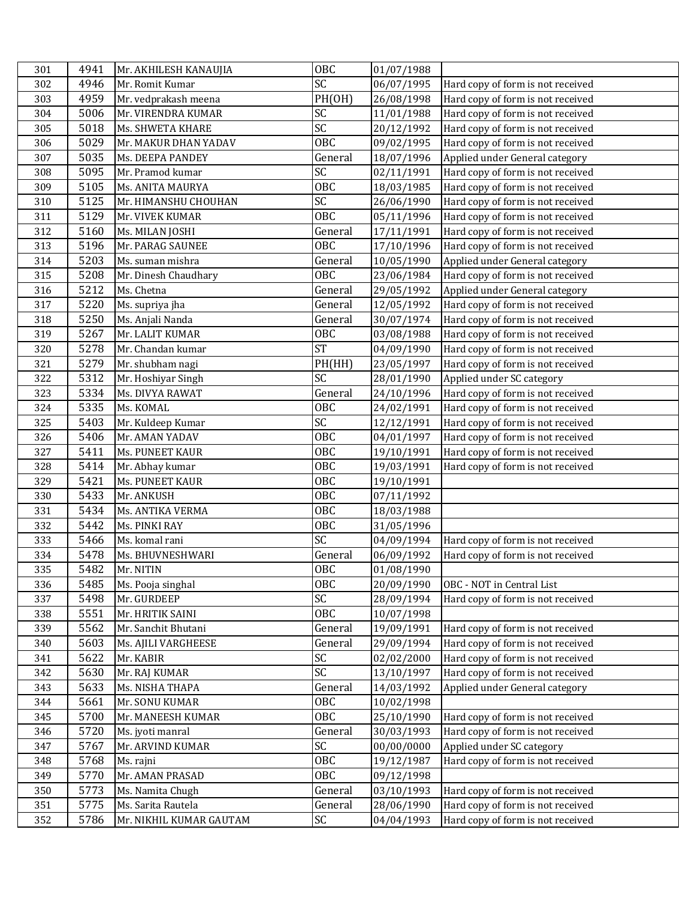| 301 | 4941 | Mr. AKHILESH KANAUJIA   | <b>OBC</b>       | 01/07/1988 |                                   |
|-----|------|-------------------------|------------------|------------|-----------------------------------|
| 302 | 4946 | Mr. Romit Kumar         | SC               | 06/07/1995 | Hard copy of form is not received |
| 303 | 4959 | Mr. vedprakash meena    | PH(OH)           | 26/08/1998 | Hard copy of form is not received |
| 304 | 5006 | Mr. VIRENDRA KUMAR      | SC               | 11/01/1988 | Hard copy of form is not received |
| 305 | 5018 | Ms. SHWETA KHARE        | $\overline{SC}$  | 20/12/1992 | Hard copy of form is not received |
| 306 | 5029 | Mr. MAKUR DHAN YADAV    | <b>OBC</b>       | 09/02/1995 | Hard copy of form is not received |
| 307 | 5035 | Ms. DEEPA PANDEY        | General          | 18/07/1996 | Applied under General category    |
| 308 | 5095 | Mr. Pramod kumar        | SC               | 02/11/1991 | Hard copy of form is not received |
| 309 | 5105 | Ms. ANITA MAURYA        | OBC              | 18/03/1985 | Hard copy of form is not received |
| 310 | 5125 | Mr. HIMANSHU CHOUHAN    | SC               | 26/06/1990 | Hard copy of form is not received |
| 311 | 5129 | Mr. VIVEK KUMAR         | $\overline{OBC}$ | 05/11/1996 | Hard copy of form is not received |
| 312 | 5160 | Ms. MILAN JOSHI         | General          | 17/11/1991 | Hard copy of form is not received |
| 313 | 5196 | Mr. PARAG SAUNEE        | <b>OBC</b>       | 17/10/1996 | Hard copy of form is not received |
| 314 | 5203 | Ms. suman mishra        | General          | 10/05/1990 | Applied under General category    |
| 315 | 5208 | Mr. Dinesh Chaudhary    | <b>OBC</b>       | 23/06/1984 | Hard copy of form is not received |
| 316 | 5212 | Ms. Chetna              | General          | 29/05/1992 | Applied under General category    |
| 317 | 5220 | Ms. supriya jha         | General          | 12/05/1992 | Hard copy of form is not received |
| 318 | 5250 | Ms. Anjali Nanda        | General          | 30/07/1974 | Hard copy of form is not received |
| 319 | 5267 | Mr. LALIT KUMAR         | OBC              | 03/08/1988 | Hard copy of form is not received |
| 320 | 5278 | Mr. Chandan kumar       | <b>ST</b>        | 04/09/1990 | Hard copy of form is not received |
| 321 | 5279 | Mr. shubham nagi        | PH(HH)           | 23/05/1997 | Hard copy of form is not received |
| 322 | 5312 | Mr. Hoshiyar Singh      | SC               | 28/01/1990 | Applied under SC category         |
| 323 | 5334 | Ms. DIVYA RAWAT         | General          | 24/10/1996 | Hard copy of form is not received |
| 324 | 5335 | Ms. KOMAL               | OBC              | 24/02/1991 | Hard copy of form is not received |
| 325 | 5403 | Mr. Kuldeep Kumar       | SC               | 12/12/1991 | Hard copy of form is not received |
| 326 | 5406 | Mr. AMAN YADAV          | <b>OBC</b>       | 04/01/1997 | Hard copy of form is not received |
| 327 | 5411 | Ms. PUNEET KAUR         | <b>OBC</b>       | 19/10/1991 | Hard copy of form is not received |
| 328 | 5414 | Mr. Abhay kumar         | <b>OBC</b>       | 19/03/1991 | Hard copy of form is not received |
| 329 | 5421 | Ms. PUNEET KAUR         | <b>OBC</b>       | 19/10/1991 |                                   |
| 330 | 5433 | Mr. ANKUSH              | <b>OBC</b>       | 07/11/1992 |                                   |
| 331 | 5434 | Ms. ANTIKA VERMA        | <b>OBC</b>       | 18/03/1988 |                                   |
| 332 | 5442 | Ms. PINKI RAY           | <b>OBC</b>       | 31/05/1996 |                                   |
| 333 | 5466 | Ms. komal rani          | SC               | 04/09/1994 | Hard copy of form is not received |
| 334 | 5478 | Ms. BHUVNESHWARI        | General          | 06/09/1992 | Hard copy of form is not received |
| 335 | 5482 | Mr. NITIN               | <b>OBC</b>       | 01/08/1990 |                                   |
| 336 | 5485 | Ms. Pooja singhal       | OBC              | 20/09/1990 | OBC - NOT in Central List         |
| 337 | 5498 | Mr. GURDEEP             | SC               | 28/09/1994 | Hard copy of form is not received |
| 338 | 5551 | Mr. HRITIK SAINI        | <b>OBC</b>       | 10/07/1998 |                                   |
| 339 | 5562 | Mr. Sanchit Bhutani     | General          | 19/09/1991 | Hard copy of form is not received |
| 340 | 5603 | Ms. AJILI VARGHEESE     | General          | 29/09/1994 | Hard copy of form is not received |
| 341 | 5622 | Mr. KABIR               | SC               | 02/02/2000 | Hard copy of form is not received |
| 342 | 5630 | Mr. RAJ KUMAR           | SC               | 13/10/1997 | Hard copy of form is not received |
| 343 | 5633 | Ms. NISHA THAPA         | General          | 14/03/1992 | Applied under General category    |
| 344 | 5661 | Mr. SONU KUMAR          | OBC              | 10/02/1998 |                                   |
| 345 | 5700 | Mr. MANEESH KUMAR       | <b>OBC</b>       | 25/10/1990 | Hard copy of form is not received |
| 346 | 5720 | Ms. jyoti manral        | General          | 30/03/1993 | Hard copy of form is not received |
| 347 | 5767 | Mr. ARVIND KUMAR        | SC               | 00/00/0000 | Applied under SC category         |
| 348 | 5768 | Ms. rajni               | OBC              | 19/12/1987 | Hard copy of form is not received |
| 349 | 5770 | Mr. AMAN PRASAD         | <b>OBC</b>       | 09/12/1998 |                                   |
| 350 | 5773 | Ms. Namita Chugh        | General          | 03/10/1993 | Hard copy of form is not received |
| 351 | 5775 | Ms. Sarita Rautela      | General          | 28/06/1990 | Hard copy of form is not received |
| 352 | 5786 | Mr. NIKHIL KUMAR GAUTAM | SC               | 04/04/1993 | Hard copy of form is not received |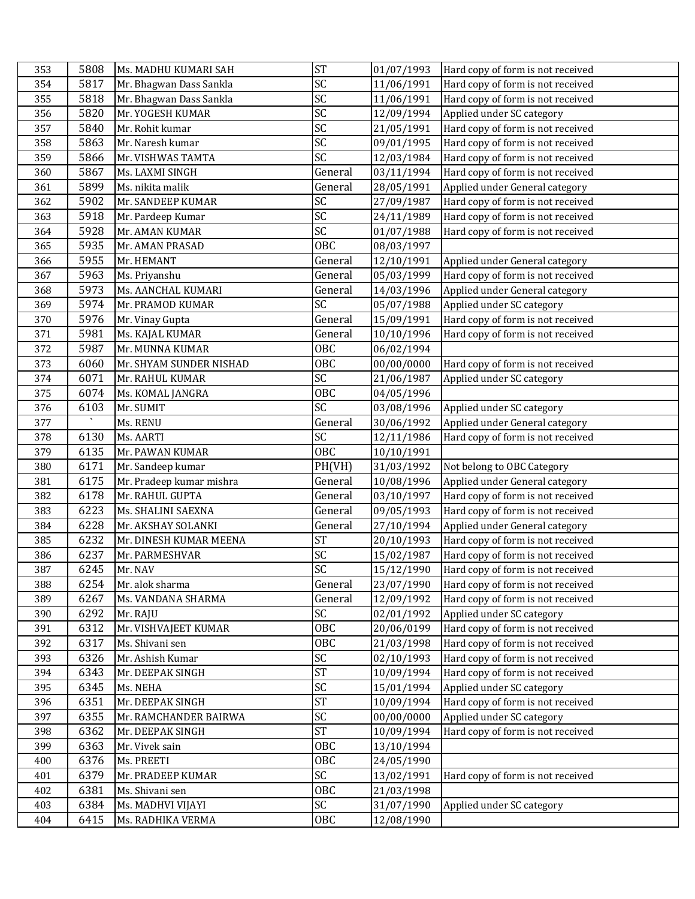| 353        | 5808         | Ms. MADHU KUMARI SAH                   | <b>ST</b>       | 01/07/1993               | Hard copy of form is not received |
|------------|--------------|----------------------------------------|-----------------|--------------------------|-----------------------------------|
| 354        | 5817         | Mr. Bhagwan Dass Sankla                | SC              | 11/06/1991               | Hard copy of form is not received |
| 355        | 5818         | Mr. Bhagwan Dass Sankla                | SC              | 11/06/1991               | Hard copy of form is not received |
| 356        | 5820         | Mr. YOGESH KUMAR                       | SC              | 12/09/1994               | Applied under SC category         |
| 357        | 5840         | Mr. Rohit kumar                        | SC              | 21/05/1991               | Hard copy of form is not received |
| 358        | 5863         | Mr. Naresh kumar                       | $\overline{SC}$ | 09/01/1995               | Hard copy of form is not received |
| 359        | 5866         | Mr. VISHWAS TAMTA                      | $\overline{SC}$ | 12/03/1984               | Hard copy of form is not received |
| 360        | 5867         | Ms. LAXMI SINGH                        | General         | 03/11/1994               | Hard copy of form is not received |
| 361        | 5899         | Ms. nikita malik                       | General         | 28/05/1991               | Applied under General category    |
| 362        | 5902         | Mr. SANDEEP KUMAR                      | SC              | 27/09/1987               | Hard copy of form is not received |
| 363        | 5918         | Mr. Pardeep Kumar                      | SC              | 24/11/1989               | Hard copy of form is not received |
| 364        | 5928         | Mr. AMAN KUMAR                         | $\overline{SC}$ | 01/07/1988               | Hard copy of form is not received |
| 365        | 5935         | Mr. AMAN PRASAD                        | <b>OBC</b>      | 08/03/1997               |                                   |
| 366        | 5955         | Mr. HEMANT                             | General         | 12/10/1991               | Applied under General category    |
| 367        | 5963         | Ms. Priyanshu                          | General         | 05/03/1999               | Hard copy of form is not received |
| 368        | 5973         | Ms. AANCHAL KUMARI                     | General         | 14/03/1996               | Applied under General category    |
| 369        | 5974         | Mr. PRAMOD KUMAR                       | SC              | 05/07/1988               | Applied under SC category         |
| 370        | 5976         | Mr. Vinay Gupta                        | General         | 15/09/1991               | Hard copy of form is not received |
| 371        | 5981         | Ms. KAJAL KUMAR                        | General         | 10/10/1996               | Hard copy of form is not received |
| 372        | 5987         | Mr. MUNNA KUMAR                        | <b>OBC</b>      | 06/02/1994               |                                   |
| 373        | 6060         | Mr. SHYAM SUNDER NISHAD                | 0BC             | 00/00/0000               | Hard copy of form is not received |
| 374        | 6071         | Mr. RAHUL KUMAR                        | SC              | 21/06/1987               | Applied under SC category         |
| 375        | 6074         | Ms. KOMAL JANGRA                       | 0BC             | 04/05/1996               |                                   |
| 376        | 6103         | Mr. SUMIT                              | $\overline{SC}$ | 03/08/1996               | Applied under SC category         |
| 377        |              | Ms. RENU                               | General         | 30/06/1992               | Applied under General category    |
| 378        | 6130         | Ms. AARTI                              | SC              | 12/11/1986               | Hard copy of form is not received |
|            |              |                                        |                 |                          |                                   |
| 379        | 6135         | Mr. PAWAN KUMAR                        | <b>OBC</b>      | 10/10/1991               |                                   |
| 380        | 6171         | Mr. Sandeep kumar                      | PH(VH)          | 31/03/1992               | Not belong to OBC Category        |
| 381        | 6175         | Mr. Pradeep kumar mishra               | General         | 10/08/1996               | Applied under General category    |
| 382        | 6178         | Mr. RAHUL GUPTA                        | General         | 03/10/1997               | Hard copy of form is not received |
| 383        | 6223         | Ms. SHALINI SAEXNA                     | General         | 09/05/1993               | Hard copy of form is not received |
| 384        | 6228         | Mr. AKSHAY SOLANKI                     | General         | 27/10/1994               | Applied under General category    |
| 385        | 6232         | Mr. DINESH KUMAR MEENA                 | <b>ST</b>       | 20/10/1993               | Hard copy of form is not received |
| 386        | 6237         | Mr. PARMESHVAR                         | SC              | 15/02/1987               | Hard copy of form is not received |
| 387        | 6245         | Mr. NAV                                | SC              | 15/12/1990               | Hard copy of form is not received |
| 388        | 6254         | Mr. alok sharma                        | General         | 23/07/1990               | Hard copy of form is not received |
| 389        | 6267         | Ms. VANDANA SHARMA                     | General         | 12/09/1992               | Hard copy of form is not received |
| 390        | 6292         | Mr. RAJU                               | SC              | 02/01/1992               | Applied under SC category         |
| 391        | 6312         | Mr. VISHVAJEET KUMAR                   | <b>OBC</b>      | 20/06/0199               | Hard copy of form is not received |
| 392        | 6317         | Ms. Shivani sen                        | 0BC             | 21/03/1998               | Hard copy of form is not received |
| 393        | 6326         | Mr. Ashish Kumar                       | SC              | 02/10/1993               | Hard copy of form is not received |
| 394        | 6343         | Mr. DEEPAK SINGH                       | <b>ST</b>       | 10/09/1994               | Hard copy of form is not received |
| 395        | 6345         | Ms. NEHA                               | SC              | 15/01/1994               | Applied under SC category         |
| 396        | 6351         | Mr. DEEPAK SINGH                       | <b>ST</b>       | 10/09/1994               | Hard copy of form is not received |
| 397        | 6355         | Mr. RAMCHANDER BAIRWA                  | SC              | 00/00/0000               | Applied under SC category         |
| 398        | 6362         | Mr. DEEPAK SINGH                       | <b>ST</b>       | 10/09/1994               | Hard copy of form is not received |
| 399        | 6363         | Mr. Vivek sain                         | 0BC             | 13/10/1994               |                                   |
| 400        | 6376         | Ms. PREETI                             | <b>OBC</b>      | 24/05/1990               |                                   |
| 401        | 6379         | Mr. PRADEEP KUMAR                      | SC              | 13/02/1991               | Hard copy of form is not received |
| 402        | 6381         | Ms. Shivani sen                        | <b>OBC</b>      | 21/03/1998               |                                   |
| 403<br>404 | 6384<br>6415 | Ms. MADHVI VIJAYI<br>Ms. RADHIKA VERMA | SC<br>OBC       | 31/07/1990<br>12/08/1990 | Applied under SC category         |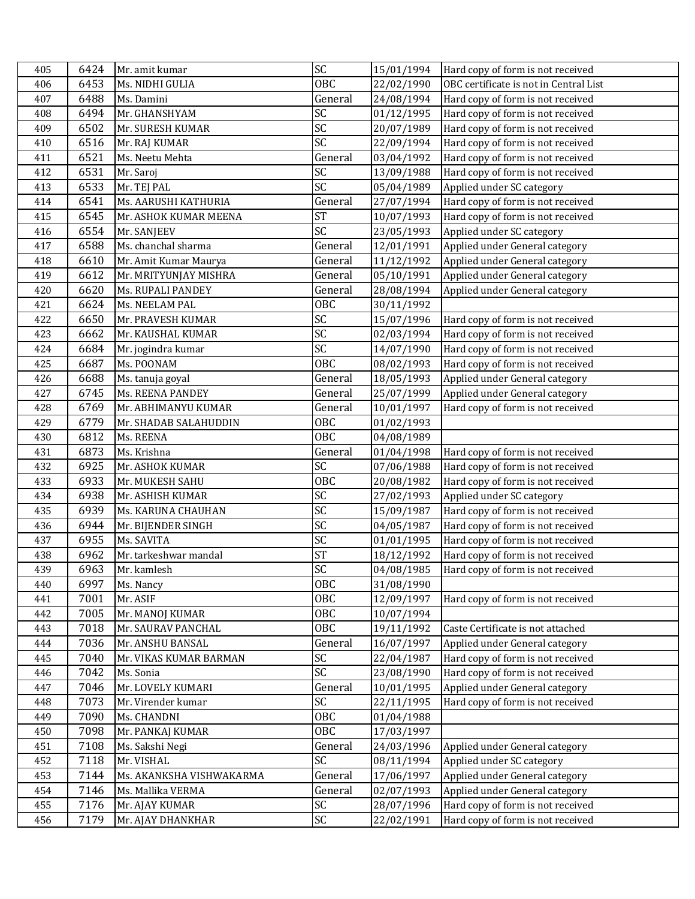| 405 | 6424 | Mr. amit kumar           | SC              | 15/01/1994 | Hard copy of form is not received      |
|-----|------|--------------------------|-----------------|------------|----------------------------------------|
| 406 | 6453 | Ms. NIDHI GULIA          | <b>OBC</b>      | 22/02/1990 | OBC certificate is not in Central List |
| 407 | 6488 | Ms. Damini               | General         | 24/08/1994 | Hard copy of form is not received      |
| 408 | 6494 | Mr. GHANSHYAM            | SC              | 01/12/1995 | Hard copy of form is not received      |
| 409 | 6502 | Mr. SURESH KUMAR         | SC              | 20/07/1989 | Hard copy of form is not received      |
| 410 | 6516 | Mr. RAJ KUMAR            | SC              | 22/09/1994 | Hard copy of form is not received      |
| 411 | 6521 | Ms. Neetu Mehta          | General         | 03/04/1992 | Hard copy of form is not received      |
| 412 | 6531 | Mr. Saroj                | SC              | 13/09/1988 | Hard copy of form is not received      |
| 413 | 6533 | Mr. TEJ PAL              | SC              | 05/04/1989 | Applied under SC category              |
| 414 | 6541 | Ms. AARUSHI KATHURIA     | General         | 27/07/1994 | Hard copy of form is not received      |
| 415 | 6545 | Mr. ASHOK KUMAR MEENA    | <b>ST</b>       | 10/07/1993 | Hard copy of form is not received      |
| 416 | 6554 | Mr. SANJEEV              | $\overline{SC}$ | 23/05/1993 | Applied under SC category              |
| 417 | 6588 | Ms. chanchal sharma      | General         | 12/01/1991 | Applied under General category         |
| 418 | 6610 | Mr. Amit Kumar Maurya    | General         | 11/12/1992 | Applied under General category         |
| 419 | 6612 | Mr. MRITYUNJAY MISHRA    | General         | 05/10/1991 | Applied under General category         |
| 420 | 6620 | Ms. RUPALI PANDEY        | General         | 28/08/1994 | Applied under General category         |
| 421 | 6624 | Ms. NEELAM PAL           | <b>OBC</b>      | 30/11/1992 |                                        |
| 422 | 6650 | Mr. PRAVESH KUMAR        | $\overline{SC}$ | 15/07/1996 | Hard copy of form is not received      |
| 423 | 6662 | Mr. KAUSHAL KUMAR        | SC              | 02/03/1994 | Hard copy of form is not received      |
| 424 | 6684 | Mr. jogindra kumar       | SC              | 14/07/1990 | Hard copy of form is not received      |
| 425 | 6687 | Ms. POONAM               | 0BC             | 08/02/1993 | Hard copy of form is not received      |
| 426 | 6688 | Ms. tanuja goyal         | General         | 18/05/1993 | Applied under General category         |
| 427 | 6745 | Ms. REENA PANDEY         | General         | 25/07/1999 | Applied under General category         |
| 428 | 6769 | Mr. ABHIMANYU KUMAR      | General         | 10/01/1997 | Hard copy of form is not received      |
| 429 | 6779 | Mr. SHADAB SALAHUDDIN    | <b>OBC</b>      | 01/02/1993 |                                        |
| 430 | 6812 | Ms. REENA                | <b>OBC</b>      | 04/08/1989 |                                        |
| 431 | 6873 | Ms. Krishna              | General         | 01/04/1998 | Hard copy of form is not received      |
| 432 | 6925 | Mr. ASHOK KUMAR          | <b>SC</b>       | 07/06/1988 | Hard copy of form is not received      |
| 433 | 6933 | Mr. MUKESH SAHU          | <b>OBC</b>      | 20/08/1982 | Hard copy of form is not received      |
| 434 | 6938 | Mr. ASHISH KUMAR         | SC              | 27/02/1993 | Applied under SC category              |
| 435 | 6939 | Ms. KARUNA CHAUHAN       | SC              | 15/09/1987 | Hard copy of form is not received      |
| 436 | 6944 | Mr. BIJENDER SINGH       | SC              | 04/05/1987 | Hard copy of form is not received      |
| 437 | 6955 | Ms. SAVITA               | SC              | 01/01/1995 | Hard copy of form is not received      |
| 438 | 6962 | Mr. tarkeshwar mandal    | <b>ST</b>       | 18/12/1992 | Hard copy of form is not received      |
| 439 | 6963 | Mr. kamlesh              | SC              | 04/08/1985 | Hard copy of form is not received      |
| 440 | 6997 | Ms. Nancy                | <b>OBC</b>      | 31/08/1990 |                                        |
| 441 | 7001 | Mr. ASIF                 | <b>OBC</b>      | 12/09/1997 | Hard copy of form is not received      |
| 442 | 7005 | Mr. MANOJ KUMAR          | <b>OBC</b>      | 10/07/1994 |                                        |
| 443 | 7018 | Mr. SAURAV PANCHAL       | 0BC             | 19/11/1992 | Caste Certificate is not attached      |
| 444 | 7036 | Mr. ANSHU BANSAL         | General         | 16/07/1997 | Applied under General category         |
| 445 | 7040 | Mr. VIKAS KUMAR BARMAN   | SC              | 22/04/1987 | Hard copy of form is not received      |
| 446 | 7042 | Ms. Sonia                | SC              | 23/08/1990 | Hard copy of form is not received      |
| 447 | 7046 | Mr. LOVELY KUMARI        | General         | 10/01/1995 | Applied under General category         |
| 448 | 7073 | Mr. Virender kumar       | SC              | 22/11/1995 | Hard copy of form is not received      |
| 449 | 7090 | Ms. CHANDNI              | OBC             | 01/04/1988 |                                        |
| 450 | 7098 | Mr. PANKAJ KUMAR         | <b>OBC</b>      | 17/03/1997 |                                        |
| 451 | 7108 | Ms. Sakshi Negi          | General         | 24/03/1996 | Applied under General category         |
| 452 | 7118 | Mr. VISHAL               | SC              | 08/11/1994 | Applied under SC category              |
| 453 | 7144 | Ms. AKANKSHA VISHWAKARMA | General         | 17/06/1997 | Applied under General category         |
| 454 | 7146 | Ms. Mallika VERMA        | General         | 02/07/1993 | Applied under General category         |
| 455 | 7176 | Mr. AJAY KUMAR           | SC              | 28/07/1996 | Hard copy of form is not received      |
| 456 | 7179 | Mr. AJAY DHANKHAR        | SC              | 22/02/1991 | Hard copy of form is not received      |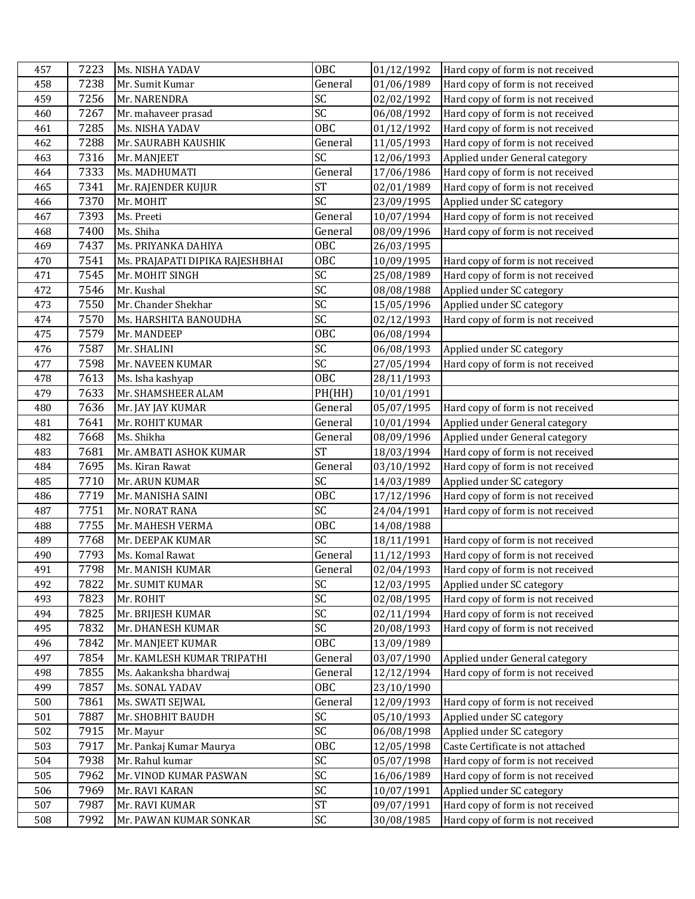| 457 | 7223 | Ms. NISHA YADAV                 | <b>OBC</b>      | 01/12/1992 | Hard copy of form is not received |
|-----|------|---------------------------------|-----------------|------------|-----------------------------------|
| 458 | 7238 | Mr. Sumit Kumar                 | General         | 01/06/1989 | Hard copy of form is not received |
| 459 | 7256 | Mr. NARENDRA                    | SC              | 02/02/1992 | Hard copy of form is not received |
| 460 | 7267 | Mr. mahaveer prasad             | SC              | 06/08/1992 | Hard copy of form is not received |
| 461 | 7285 | Ms. NISHA YADAV                 | <b>OBC</b>      | 01/12/1992 | Hard copy of form is not received |
| 462 | 7288 | Mr. SAURABH KAUSHIK             | General         | 11/05/1993 | Hard copy of form is not received |
| 463 | 7316 | Mr. MANJEET                     | SC              | 12/06/1993 | Applied under General category    |
| 464 | 7333 | Ms. MADHUMATI                   | General         | 17/06/1986 | Hard copy of form is not received |
| 465 | 7341 | Mr. RAJENDER KUJUR              | <b>ST</b>       | 02/01/1989 | Hard copy of form is not received |
| 466 | 7370 | Mr. MOHIT                       | SC              | 23/09/1995 | Applied under SC category         |
| 467 | 7393 | Ms. Preeti                      | General         | 10/07/1994 | Hard copy of form is not received |
| 468 | 7400 | Ms. Shiha                       | General         | 08/09/1996 | Hard copy of form is not received |
| 469 | 7437 | Ms. PRIYANKA DAHIYA             | <b>OBC</b>      | 26/03/1995 |                                   |
| 470 | 7541 | Ms. PRAJAPATI DIPIKA RAJESHBHAI | <b>OBC</b>      | 10/09/1995 | Hard copy of form is not received |
| 471 | 7545 | Mr. MOHIT SINGH                 | SC              | 25/08/1989 | Hard copy of form is not received |
| 472 | 7546 | Mr. Kushal                      | SC              | 08/08/1988 | Applied under SC category         |
| 473 | 7550 | Mr. Chander Shekhar             | SC              | 15/05/1996 | Applied under SC category         |
| 474 | 7570 | Ms. HARSHITA BANOUDHA           | $\overline{SC}$ | 02/12/1993 | Hard copy of form is not received |
| 475 | 7579 | Mr. MANDEEP                     | <b>OBC</b>      | 06/08/1994 |                                   |
| 476 | 7587 | Mr. SHALINI                     | SC              | 06/08/1993 | Applied under SC category         |
| 477 | 7598 | Mr. NAVEEN KUMAR                | SC              | 27/05/1994 | Hard copy of form is not received |
| 478 | 7613 | Ms. Isha kashyap                | <b>OBC</b>      | 28/11/1993 |                                   |
| 479 | 7633 | Mr. SHAMSHEER ALAM              | PH(HH)          | 10/01/1991 |                                   |
| 480 | 7636 | Mr. JAY JAY KUMAR               | General         | 05/07/1995 | Hard copy of form is not received |
| 481 | 7641 | Mr. ROHIT KUMAR                 | General         | 10/01/1994 | Applied under General category    |
| 482 | 7668 | Ms. Shikha                      | General         | 08/09/1996 | Applied under General category    |
| 483 | 7681 | Mr. AMBATI ASHOK KUMAR          | <b>ST</b>       | 18/03/1994 | Hard copy of form is not received |
| 484 | 7695 | Ms. Kiran Rawat                 | General         | 03/10/1992 | Hard copy of form is not received |
| 485 | 7710 | Mr. ARUN KUMAR                  | SC              | 14/03/1989 | Applied under SC category         |
| 486 | 7719 | Mr. MANISHA SAINI               | <b>OBC</b>      | 17/12/1996 | Hard copy of form is not received |
| 487 | 7751 | Mr. NORAT RANA                  | SC              | 24/04/1991 | Hard copy of form is not received |
| 488 | 7755 | Mr. MAHESH VERMA                | <b>OBC</b>      | 14/08/1988 |                                   |
| 489 | 7768 | Mr. DEEPAK KUMAR                | SC              | 18/11/1991 | Hard copy of form is not received |
| 490 | 7793 | Ms. Komal Rawat                 | General         | 11/12/1993 | Hard copy of form is not received |
| 491 | 7798 | Mr. MANISH KUMAR                | General         | 02/04/1993 | Hard copy of form is not received |
| 492 | 7822 | Mr. SUMIT KUMAR                 | SC              | 12/03/1995 | Applied under SC category         |
| 493 | 7823 | Mr. ROHIT                       | SC              | 02/08/1995 | Hard copy of form is not received |
| 494 | 7825 | Mr. BRIJESH KUMAR               | SC              | 02/11/1994 | Hard copy of form is not received |
| 495 | 7832 | Mr. DHANESH KUMAR               | SC              | 20/08/1993 | Hard copy of form is not received |
| 496 | 7842 | Mr. MANJEET KUMAR               | 0BC             | 13/09/1989 |                                   |
| 497 | 7854 | Mr. KAMLESH KUMAR TRIPATHI      | General         | 03/07/1990 | Applied under General category    |
| 498 | 7855 | Ms. Aakanksha bhardwaj          | General         | 12/12/1994 | Hard copy of form is not received |
| 499 | 7857 | Ms. SONAL YADAV                 | 0BC             | 23/10/1990 |                                   |
| 500 | 7861 | Ms. SWATI SEJWAL                | General         | 12/09/1993 | Hard copy of form is not received |
| 501 | 7887 | Mr. SHOBHIT BAUDH               | SC              | 05/10/1993 | Applied under SC category         |
| 502 | 7915 | Mr. Mayur                       | SC              | 06/08/1998 | Applied under SC category         |
| 503 | 7917 | Mr. Pankaj Kumar Maurya         | <b>OBC</b>      | 12/05/1998 | Caste Certificate is not attached |
| 504 | 7938 | Mr. Rahul kumar                 | SC              | 05/07/1998 | Hard copy of form is not received |
| 505 | 7962 | Mr. VINOD KUMAR PASWAN          | SC              | 16/06/1989 | Hard copy of form is not received |
| 506 | 7969 | Mr. RAVI KARAN                  | SC              | 10/07/1991 | Applied under SC category         |
| 507 | 7987 | Mr. RAVI KUMAR                  | <b>ST</b>       | 09/07/1991 | Hard copy of form is not received |
| 508 | 7992 | Mr. PAWAN KUMAR SONKAR          | <b>SC</b>       | 30/08/1985 | Hard copy of form is not received |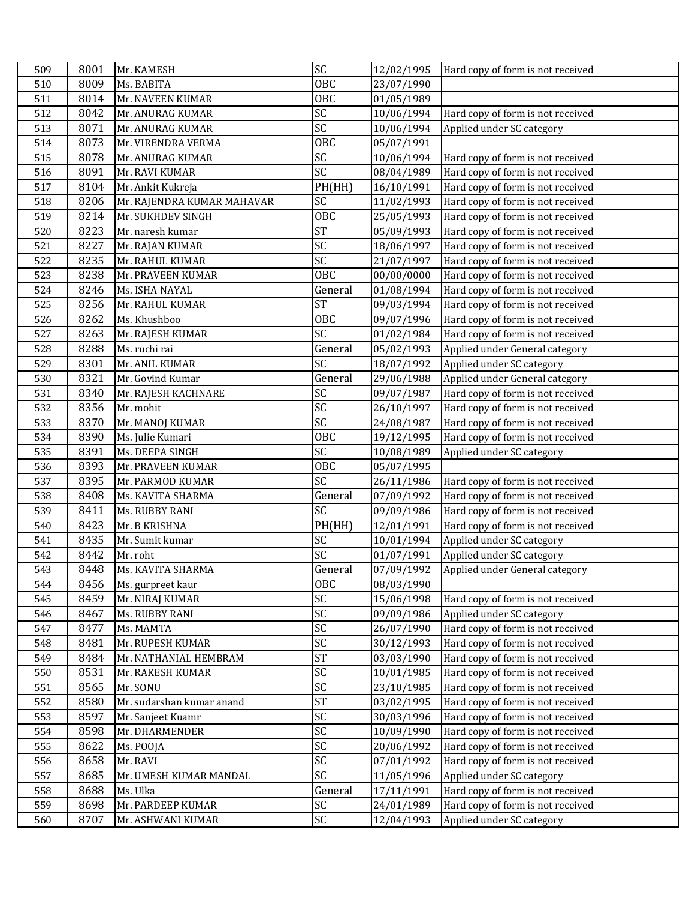| 509        | 8001         | Mr. KAMESH                             | SC              | 12/02/1995               | Hard copy of form is not received                              |
|------------|--------------|----------------------------------------|-----------------|--------------------------|----------------------------------------------------------------|
| 510        | 8009         | Ms. BABITA                             | <b>OBC</b>      | 23/07/1990               |                                                                |
| 511        | 8014         | Mr. NAVEEN KUMAR                       | OBC             | 01/05/1989               |                                                                |
| 512        | 8042         | Mr. ANURAG KUMAR                       | SC              | 10/06/1994               | Hard copy of form is not received                              |
| 513        | 8071         | Mr. ANURAG KUMAR                       | $\overline{SC}$ | 10/06/1994               | Applied under SC category                                      |
| 514        | 8073         | Mr. VIRENDRA VERMA                     | OBC             | 05/07/1991               |                                                                |
| 515        | 8078         | Mr. ANURAG KUMAR                       | SC              | 10/06/1994               | Hard copy of form is not received                              |
| 516        | 8091         | Mr. RAVI KUMAR                         | SC              | 08/04/1989               | Hard copy of form is not received                              |
| 517        | 8104         | Mr. Ankit Kukreja                      | PH(HH)          | 16/10/1991               | Hard copy of form is not received                              |
| 518        | 8206         | Mr. RAJENDRA KUMAR MAHAVAR             | SC              | 11/02/1993               | Hard copy of form is not received                              |
| 519        | 8214         | Mr. SUKHDEV SINGH                      | OBC             | 25/05/1993               | Hard copy of form is not received                              |
| 520        | 8223         | Mr. naresh kumar                       | <b>ST</b>       | 05/09/1993               | Hard copy of form is not received                              |
| 521        | 8227         | Mr. RAJAN KUMAR                        | SC              | 18/06/1997               | Hard copy of form is not received                              |
| 522        | 8235         | Mr. RAHUL KUMAR                        | SC              | 21/07/1997               | Hard copy of form is not received                              |
| 523        | 8238         | Mr. PRAVEEN KUMAR                      | <b>OBC</b>      | 00/00/0000               | Hard copy of form is not received                              |
| 524        | 8246         | Ms. ISHA NAYAL                         | General         | 01/08/1994               | Hard copy of form is not received                              |
| 525        | 8256         | Mr. RAHUL KUMAR                        | <b>ST</b>       | 09/03/1994               | Hard copy of form is not received                              |
| 526        | 8262         | Ms. Khushboo                           | OBC             | 09/07/1996               | Hard copy of form is not received                              |
| 527        | 8263         | Mr. RAJESH KUMAR                       | SC              | 01/02/1984               | Hard copy of form is not received                              |
| 528        | 8288         | Ms. ruchi rai                          | General         | 05/02/1993               | Applied under General category                                 |
| 529        | 8301         | Mr. ANIL KUMAR                         | SC              | 18/07/1992               | Applied under SC category                                      |
| 530        | 8321         | Mr. Govind Kumar                       | General         | 29/06/1988               | Applied under General category                                 |
| 531        | 8340         | Mr. RAJESH KACHNARE                    | SC              | 09/07/1987               | Hard copy of form is not received                              |
| 532        | 8356         | Mr. mohit                              | $\overline{SC}$ | 26/10/1997               | Hard copy of form is not received                              |
| 533        | 8370         | Mr. MANOJ KUMAR                        | $\overline{SC}$ | 24/08/1987               | Hard copy of form is not received                              |
| 534        | 8390         | Ms. Julie Kumari                       | <b>OBC</b>      | 19/12/1995               | Hard copy of form is not received                              |
| 535        | 8391         | Ms. DEEPA SINGH                        | SC              | 10/08/1989               | Applied under SC category                                      |
| 536        | 8393         | Mr. PRAVEEN KUMAR                      | OBC             | 05/07/1995               |                                                                |
| 537        | 8395         | Mr. PARMOD KUMAR                       | SC              | 26/11/1986               | Hard copy of form is not received                              |
| 538        | 8408         | Ms. KAVITA SHARMA                      | General         | 07/09/1992               | Hard copy of form is not received                              |
| 539        | 8411         | Ms. RUBBY RANI                         | $\overline{SC}$ | 09/09/1986               | Hard copy of form is not received                              |
| 540        | 8423         | Mr. B KRISHNA                          | PH(HH)          | 12/01/1991               | Hard copy of form is not received                              |
| 541        | 8435         | Mr. Sumit kumar                        | SC              | 10/01/1994               | Applied under SC category                                      |
| 542        | 8442         | Mr. roht                               | SC              | 01/07/1991               | Applied under SC category                                      |
| 543        | 8448         | Ms. KAVITA SHARMA                      | General         | 07/09/1992               | Applied under General category                                 |
| 544        | 8456         | Ms. gurpreet kaur                      | OBC             | 08/03/1990               |                                                                |
| 545        | 8459         | Mr. NIRAJ KUMAR                        | SC              | 15/06/1998               | Hard copy of form is not received                              |
| 546        | 8467         | Ms. RUBBY RANI                         |                 |                          |                                                                |
| 547        |              |                                        | SC              | 09/09/1986               | Applied under SC category                                      |
|            | 8477         | Ms. MAMTA                              | SC              | 26/07/1990               | Hard copy of form is not received                              |
| 548        | 8481         | Mr. RUPESH KUMAR                       | SC              | 30/12/1993               | Hard copy of form is not received                              |
| 549        | 8484         | Mr. NATHANIAL HEMBRAM                  | <b>ST</b>       | 03/03/1990               | Hard copy of form is not received                              |
| 550        | 8531         | Mr. RAKESH KUMAR                       | SC              | 10/01/1985               | Hard copy of form is not received                              |
| 551        | 8565         | Mr. SONU                               | $\overline{SC}$ | 23/10/1985               | Hard copy of form is not received                              |
| 552        | 8580         | Mr. sudarshan kumar anand              | <b>ST</b>       | 03/02/1995               | Hard copy of form is not received                              |
| 553        | 8597         | Mr. Sanjeet Kuamr                      | SC              | 30/03/1996               | Hard copy of form is not received                              |
| 554        | 8598         | Mr. DHARMENDER                         | SC              | 10/09/1990               | Hard copy of form is not received                              |
| 555        | 8622         | Ms. POOJA                              | SC              | 20/06/1992               | Hard copy of form is not received                              |
| 556        | 8658         | Mr. RAVI                               | $\overline{SC}$ | 07/01/1992               | Hard copy of form is not received                              |
| 557        | 8685         | Mr. UMESH KUMAR MANDAL                 | $\overline{SC}$ | 11/05/1996               | Applied under SC category                                      |
| 558        | 8688         | Ms. Ulka                               | General         | 17/11/1991               | Hard copy of form is not received                              |
| 559<br>560 | 8698<br>8707 | Mr. PARDEEP KUMAR<br>Mr. ASHWANI KUMAR | SC<br>SC        | 24/01/1989<br>12/04/1993 | Hard copy of form is not received<br>Applied under SC category |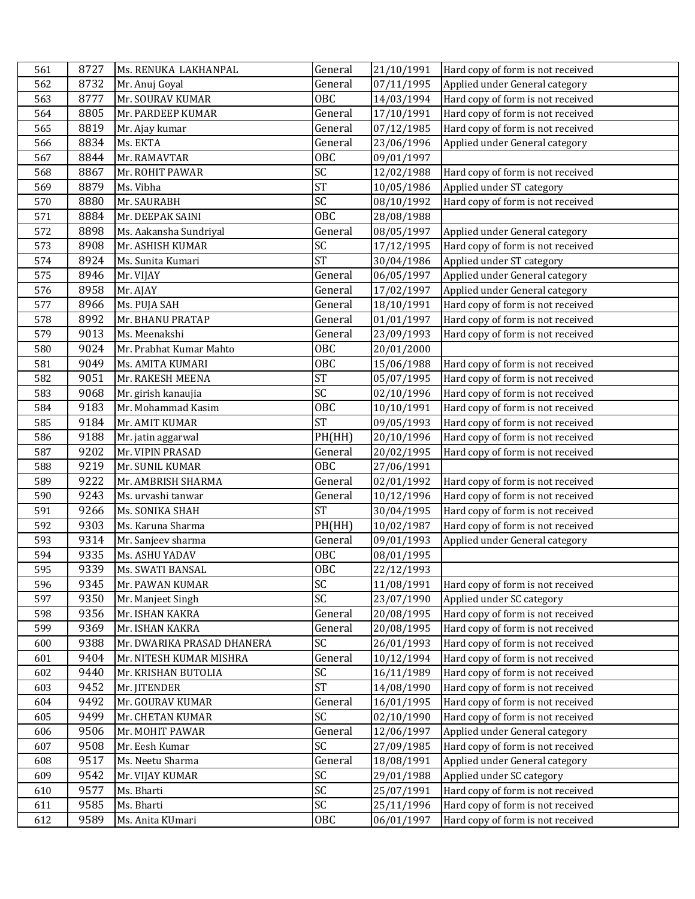| 561 | 8727 | Ms. RENUKA LAKHANPAL       | General                | 21/10/1991 | Hard copy of form is not received |
|-----|------|----------------------------|------------------------|------------|-----------------------------------|
| 562 | 8732 | Mr. Anuj Goyal             | General                | 07/11/1995 | Applied under General category    |
| 563 | 8777 | Mr. SOURAV KUMAR           | OBC                    | 14/03/1994 | Hard copy of form is not received |
| 564 | 8805 | Mr. PARDEEP KUMAR          | General                | 17/10/1991 | Hard copy of form is not received |
| 565 | 8819 | Mr. Ajay kumar             | General                | 07/12/1985 | Hard copy of form is not received |
| 566 | 8834 | Ms. EKTA                   | General                | 23/06/1996 | Applied under General category    |
| 567 | 8844 | Mr. RAMAVTAR               | OBC                    | 09/01/1997 |                                   |
| 568 | 8867 | Mr. ROHIT PAWAR            | SC                     | 12/02/1988 | Hard copy of form is not received |
| 569 | 8879 | Ms. Vibha                  | <b>ST</b>              | 10/05/1986 | Applied under ST category         |
| 570 | 8880 | Mr. SAURABH                | SC                     | 08/10/1992 | Hard copy of form is not received |
| 571 | 8884 | Mr. DEEPAK SAINI           | OBC                    | 28/08/1988 |                                   |
| 572 | 8898 | Ms. Aakansha Sundriyal     | General                | 08/05/1997 | Applied under General category    |
| 573 | 8908 | Mr. ASHISH KUMAR           | SC                     | 17/12/1995 | Hard copy of form is not received |
| 574 | 8924 | Ms. Sunita Kumari          | <b>ST</b>              | 30/04/1986 | Applied under ST category         |
| 575 | 8946 | Mr. VIJAY                  | General                | 06/05/1997 | Applied under General category    |
| 576 | 8958 | Mr. AJAY                   | General                | 17/02/1997 | Applied under General category    |
| 577 | 8966 | Ms. PUJA SAH               | General                | 18/10/1991 | Hard copy of form is not received |
| 578 | 8992 | Mr. BHANU PRATAP           | General                | 01/01/1997 | Hard copy of form is not received |
| 579 | 9013 | Ms. Meenakshi              | General                | 23/09/1993 | Hard copy of form is not received |
| 580 | 9024 | Mr. Prabhat Kumar Mahto    | <b>OBC</b>             | 20/01/2000 |                                   |
| 581 | 9049 | <b>Ms. AMITA KUMARI</b>    | OBC                    | 15/06/1988 | Hard copy of form is not received |
| 582 | 9051 | Mr. RAKESH MEENA           | <b>ST</b>              | 05/07/1995 | Hard copy of form is not received |
| 583 | 9068 | Mr. girish kanaujia        | SC                     | 02/10/1996 | Hard copy of form is not received |
| 584 | 9183 | Mr. Mohammad Kasim         | OBC                    | 10/10/1991 | Hard copy of form is not received |
| 585 | 9184 | Mr. AMIT KUMAR             | $\overline{\text{ST}}$ | 09/05/1993 | Hard copy of form is not received |
| 586 | 9188 | Mr. jatin aggarwal         | PH(HH)                 | 20/10/1996 | Hard copy of form is not received |
| 587 | 9202 | Mr. VIPIN PRASAD           | General                | 20/02/1995 | Hard copy of form is not received |
| 588 | 9219 | Mr. SUNIL KUMAR            | OBC                    | 27/06/1991 |                                   |
| 589 | 9222 | Mr. AMBRISH SHARMA         | General                | 02/01/1992 | Hard copy of form is not received |
| 590 | 9243 | Ms. urvashi tanwar         | General                | 10/12/1996 | Hard copy of form is not received |
| 591 | 9266 | Ms. SONIKA SHAH            | <b>ST</b>              | 30/04/1995 | Hard copy of form is not received |
| 592 | 9303 | Ms. Karuna Sharma          | PH(HH)                 | 10/02/1987 | Hard copy of form is not received |
| 593 | 9314 | Mr. Sanjeev sharma         | General                | 09/01/1993 | Applied under General category    |
| 594 | 9335 | Ms. ASHU YADAV             | <b>OBC</b>             | 08/01/1995 |                                   |
| 595 | 9339 | Ms. SWATI BANSAL           | OBC                    | 22/12/1993 |                                   |
| 596 | 9345 | Mr. PAWAN KUMAR            | SC                     | 11/08/1991 | Hard copy of form is not received |
| 597 | 9350 | Mr. Manjeet Singh          | SC                     | 23/07/1990 | Applied under SC category         |
| 598 | 9356 | Mr. ISHAN KAKRA            | General                | 20/08/1995 | Hard copy of form is not received |
| 599 | 9369 | Mr. ISHAN KAKRA            | General                | 20/08/1995 | Hard copy of form is not received |
| 600 | 9388 | Mr. DWARIKA PRASAD DHANERA | SC                     | 26/01/1993 | Hard copy of form is not received |
| 601 | 9404 | Mr. NITESH KUMAR MISHRA    | General                | 10/12/1994 | Hard copy of form is not received |
| 602 | 9440 | Mr. KRISHAN BUTOLIA        | SC                     | 16/11/1989 | Hard copy of form is not received |
| 603 | 9452 | Mr. JITENDER               | <b>ST</b>              | 14/08/1990 | Hard copy of form is not received |
| 604 | 9492 | Mr. GOURAV KUMAR           | General                | 16/01/1995 | Hard copy of form is not received |
| 605 | 9499 | Mr. CHETAN KUMAR           | SC                     | 02/10/1990 | Hard copy of form is not received |
| 606 | 9506 | Mr. MOHIT PAWAR            | General                | 12/06/1997 | Applied under General category    |
| 607 | 9508 | Mr. Eesh Kumar             | SC                     | 27/09/1985 | Hard copy of form is not received |
| 608 | 9517 | Ms. Neetu Sharma           | General                | 18/08/1991 | Applied under General category    |
| 609 | 9542 | Mr. VIJAY KUMAR            | SC                     | 29/01/1988 | Applied under SC category         |
| 610 | 9577 | Ms. Bharti                 | SC                     | 25/07/1991 | Hard copy of form is not received |
| 611 | 9585 | Ms. Bharti                 | SC                     | 25/11/1996 | Hard copy of form is not received |
| 612 | 9589 | Ms. Anita KUmari           | OBC                    | 06/01/1997 | Hard copy of form is not received |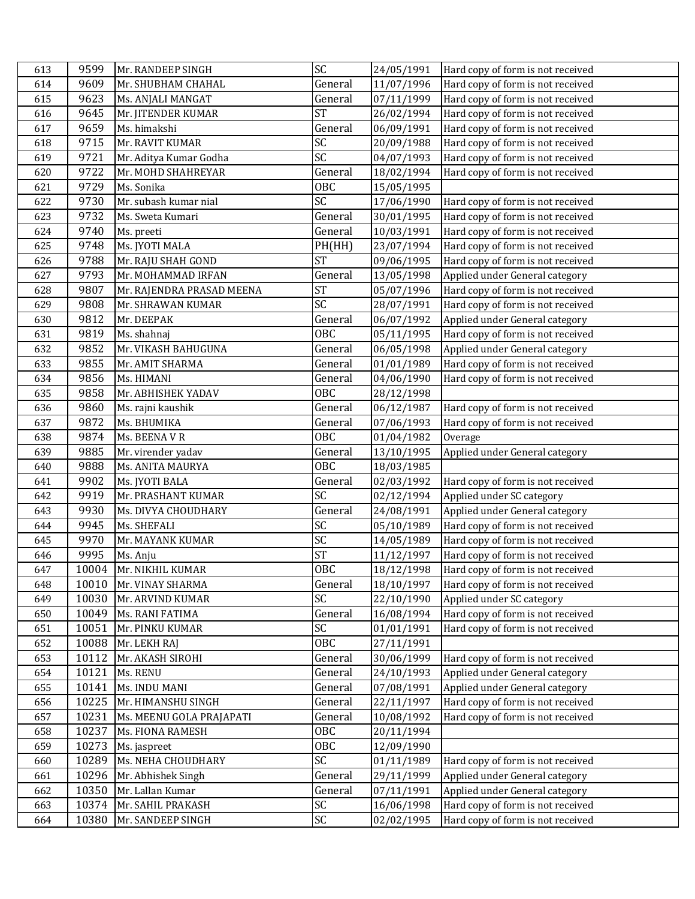| 613 | 9599  | Mr. RANDEEP SINGH         | SC              | 24/05/1991 | Hard copy of form is not received |
|-----|-------|---------------------------|-----------------|------------|-----------------------------------|
| 614 | 9609  | Mr. SHUBHAM CHAHAL        | General         | 11/07/1996 | Hard copy of form is not received |
| 615 | 9623  | Ms. ANJALI MANGAT         | General         | 07/11/1999 | Hard copy of form is not received |
| 616 | 9645  | Mr. JITENDER KUMAR        | <b>ST</b>       | 26/02/1994 | Hard copy of form is not received |
| 617 | 9659  | Ms. himakshi              | General         | 06/09/1991 | Hard copy of form is not received |
| 618 | 9715  | Mr. RAVIT KUMAR           | SC              | 20/09/1988 | Hard copy of form is not received |
| 619 | 9721  | Mr. Aditya Kumar Godha    | $\overline{SC}$ | 04/07/1993 | Hard copy of form is not received |
| 620 | 9722  | Mr. MOHD SHAHREYAR        | General         | 18/02/1994 | Hard copy of form is not received |
| 621 | 9729  | Ms. Sonika                | 0BC             | 15/05/1995 |                                   |
| 622 | 9730  | Mr. subash kumar nial     | SC              | 17/06/1990 | Hard copy of form is not received |
| 623 | 9732  | Ms. Sweta Kumari          | General         | 30/01/1995 | Hard copy of form is not received |
| 624 | 9740  | Ms. preeti                | General         | 10/03/1991 | Hard copy of form is not received |
| 625 | 9748  | Ms. JYOTI MALA            | PH(HH)          | 23/07/1994 | Hard copy of form is not received |
| 626 | 9788  | Mr. RAJU SHAH GOND        | <b>ST</b>       | 09/06/1995 | Hard copy of form is not received |
| 627 | 9793  | Mr. MOHAMMAD IRFAN        | General         | 13/05/1998 | Applied under General category    |
| 628 | 9807  | Mr. RAJENDRA PRASAD MEENA | <b>ST</b>       | 05/07/1996 | Hard copy of form is not received |
| 629 | 9808  | Mr. SHRAWAN KUMAR         | SC              | 28/07/1991 | Hard copy of form is not received |
| 630 | 9812  | Mr. DEEPAK                | General         | 06/07/1992 | Applied under General category    |
| 631 | 9819  | Ms. shahnaj               | <b>OBC</b>      | 05/11/1995 | Hard copy of form is not received |
| 632 | 9852  | Mr. VIKASH BAHUGUNA       | General         | 06/05/1998 | Applied under General category    |
| 633 | 9855  | Mr. AMIT SHARMA           | General         | 01/01/1989 | Hard copy of form is not received |
| 634 | 9856  | Ms. HIMANI                | General         | 04/06/1990 | Hard copy of form is not received |
| 635 | 9858  | Mr. ABHISHEK YADAV        | <b>OBC</b>      | 28/12/1998 |                                   |
| 636 | 9860  | Ms. rajni kaushik         | General         | 06/12/1987 | Hard copy of form is not received |
| 637 | 9872  | Ms. BHUMIKA               | General         | 07/06/1993 | Hard copy of form is not received |
| 638 | 9874  | Ms. BEENAVR               | OBC             | 01/04/1982 | Overage                           |
| 639 | 9885  | Mr. virender yadav        | General         | 13/10/1995 | Applied under General category    |
| 640 | 9888  | <b>Ms. ANITA MAURYA</b>   | OBC             | 18/03/1985 |                                   |
| 641 | 9902  | Ms. JYOTI BALA            | General         | 02/03/1992 | Hard copy of form is not received |
| 642 | 9919  | Mr. PRASHANT KUMAR        | SC              | 02/12/1994 | Applied under SC category         |
| 643 | 9930  | Ms. DIVYA CHOUDHARY       | General         | 24/08/1991 | Applied under General category    |
| 644 | 9945  | Ms. SHEFALI               | SC              | 05/10/1989 | Hard copy of form is not received |
| 645 | 9970  | Mr. MAYANK KUMAR          | SC              | 14/05/1989 | Hard copy of form is not received |
| 646 | 9995  | Ms. Anju                  | <b>ST</b>       | 11/12/1997 | Hard copy of form is not received |
| 647 |       | 10004 Mr. NIKHIL KUMAR    | OBC             | 18/12/1998 | Hard copy of form is not received |
| 648 |       | 10010 Mr. VINAY SHARMA    | General         | 18/10/1997 | Hard copy of form is not received |
| 649 | 10030 | Mr. ARVIND KUMAR          | SC              | 22/10/1990 | Applied under SC category         |
| 650 | 10049 | Ms. RANI FATIMA           | General         | 16/08/1994 | Hard copy of form is not received |
| 651 | 10051 | Mr. PINKU KUMAR           | SC              | 01/01/1991 | Hard copy of form is not received |
| 652 | 10088 | Mr. LEKH RAJ              | OBC             | 27/11/1991 |                                   |
| 653 | 10112 | Mr. AKASH SIROHI          | General         | 30/06/1999 | Hard copy of form is not received |
| 654 | 10121 | Ms. RENU                  | General         | 24/10/1993 | Applied under General category    |
| 655 | 10141 | Ms. INDU MANI             | General         | 07/08/1991 | Applied under General category    |
| 656 |       | 10225 Mr. HIMANSHU SINGH  | General         | 22/11/1997 | Hard copy of form is not received |
| 657 | 10231 | Ms. MEENU GOLA PRAJAPATI  | General         | 10/08/1992 | Hard copy of form is not received |
| 658 | 10237 | Ms. FIONA RAMESH          | OBC             | 20/11/1994 |                                   |
| 659 | 10273 | Ms. jaspreet              | 0BC             | 12/09/1990 |                                   |
| 660 | 10289 | Ms. NEHA CHOUDHARY        | SC              | 01/11/1989 | Hard copy of form is not received |
| 661 | 10296 | Mr. Abhishek Singh        | General         | 29/11/1999 | Applied under General category    |
| 662 | 10350 | Mr. Lallan Kumar          | General         | 07/11/1991 | Applied under General category    |
| 663 | 10374 | Mr. SAHIL PRAKASH         | SC              | 16/06/1998 | Hard copy of form is not received |
|     | 10380 | Mr. SANDEEP SINGH         | <b>SC</b>       | 02/02/1995 | Hard copy of form is not received |
| 664 |       |                           |                 |            |                                   |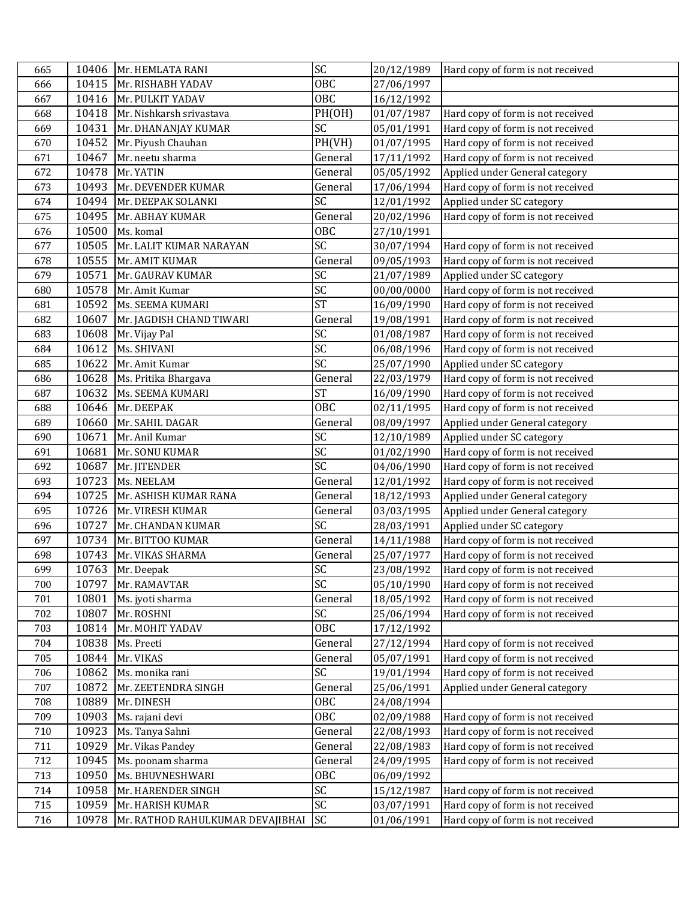| 665 |       | 10406 Mr. HEMLATA RANI           | SC         | 20/12/1989 | Hard copy of form is not received |
|-----|-------|----------------------------------|------------|------------|-----------------------------------|
| 666 |       | 10415 Mr. RISHABH YADAV          | OBC        | 27/06/1997 |                                   |
| 667 |       | 10416 Mr. PULKIT YADAV           | OBC        | 16/12/1992 |                                   |
| 668 |       | 10418 Mr. Nishkarsh srivastava   | PH(OH)     | 01/07/1987 | Hard copy of form is not received |
| 669 | 10431 | Mr. DHANANJAY KUMAR              | SC         | 05/01/1991 | Hard copy of form is not received |
| 670 | 10452 | Mr. Piyush Chauhan               | PH(VH)     | 01/07/1995 | Hard copy of form is not received |
| 671 | 10467 | Mr. neetu sharma                 | General    | 17/11/1992 | Hard copy of form is not received |
| 672 | 10478 | Mr. YATIN                        | General    | 05/05/1992 | Applied under General category    |
| 673 | 10493 | Mr. DEVENDER KUMAR               | General    | 17/06/1994 | Hard copy of form is not received |
| 674 | 10494 | Mr. DEEPAK SOLANKI               | SC         | 12/01/1992 | Applied under SC category         |
| 675 | 10495 | Mr. ABHAY KUMAR                  | General    | 20/02/1996 | Hard copy of form is not received |
| 676 | 10500 | Ms. komal                        | OBC        | 27/10/1991 |                                   |
| 677 | 10505 | Mr. LALIT KUMAR NARAYAN          | SC         | 30/07/1994 | Hard copy of form is not received |
| 678 | 10555 | Mr. AMIT KUMAR                   | General    | 09/05/1993 | Hard copy of form is not received |
| 679 | 10571 | Mr. GAURAV KUMAR                 | SC         | 21/07/1989 | Applied under SC category         |
| 680 | 10578 | Mr. Amit Kumar                   | SC         | 00/00/0000 | Hard copy of form is not received |
| 681 | 10592 | Ms. SEEMA KUMARI                 | <b>ST</b>  | 16/09/1990 | Hard copy of form is not received |
| 682 | 10607 | Mr. JAGDISH CHAND TIWARI         | General    | 19/08/1991 | Hard copy of form is not received |
| 683 | 10608 | Mr. Vijay Pal                    | SC         | 01/08/1987 | Hard copy of form is not received |
| 684 | 10612 | Ms. SHIVANI                      | SC         | 06/08/1996 | Hard copy of form is not received |
| 685 | 10622 | Mr. Amit Kumar                   | SC         | 25/07/1990 | Applied under SC category         |
| 686 | 10628 | Ms. Pritika Bhargava             | General    | 22/03/1979 | Hard copy of form is not received |
| 687 | 10632 | Ms. SEEMA KUMARI                 | <b>ST</b>  | 16/09/1990 | Hard copy of form is not received |
| 688 | 10646 | Mr. DEEPAK                       | OBC        | 02/11/1995 | Hard copy of form is not received |
| 689 | 10660 | Mr. SAHIL DAGAR                  | General    | 08/09/1997 | Applied under General category    |
| 690 | 10671 | Mr. Anil Kumar                   | SC         | 12/10/1989 | Applied under SC category         |
| 691 | 10681 | Mr. SONU KUMAR                   | SC         | 01/02/1990 | Hard copy of form is not received |
| 692 | 10687 | Mr. JITENDER                     | SC         | 04/06/1990 | Hard copy of form is not received |
| 693 | 10723 | Ms. NEELAM                       | General    | 12/01/1992 | Hard copy of form is not received |
| 694 | 10725 | Mr. ASHISH KUMAR RANA            | General    | 18/12/1993 | Applied under General category    |
| 695 | 10726 | Mr. VIRESH KUMAR                 | General    | 03/03/1995 | Applied under General category    |
| 696 | 10727 | Mr. CHANDAN KUMAR                | SC         | 28/03/1991 | Applied under SC category         |
| 697 | 10734 | Mr. BITTOO KUMAR                 | General    | 14/11/1988 | Hard copy of form is not received |
| 698 | 10743 | Mr. VIKAS SHARMA                 | General    | 25/07/1977 | Hard copy of form is not received |
| 699 |       | 10763 Mr. Deepak                 | SC         | 23/08/1992 | Hard copy of form is not received |
| 700 | 10797 | Mr. RAMAVTAR                     | SC         | 05/10/1990 | Hard copy of form is not received |
| 701 | 10801 | Ms. jyoti sharma                 | General    | 18/05/1992 | Hard copy of form is not received |
| 702 | 10807 | Mr. ROSHNI                       | SC         | 25/06/1994 | Hard copy of form is not received |
| 703 | 10814 | Mr. MOHIT YADAV                  | <b>OBC</b> | 17/12/1992 |                                   |
| 704 | 10838 | Ms. Preeti                       | General    | 27/12/1994 | Hard copy of form is not received |
| 705 | 10844 | Mr. VIKAS                        | General    | 05/07/1991 | Hard copy of form is not received |
| 706 | 10862 | Ms. monika rani                  | SC         | 19/01/1994 | Hard copy of form is not received |
| 707 | 10872 | Mr. ZEETENDRA SINGH              | General    | 25/06/1991 | Applied under General category    |
| 708 | 10889 | Mr. DINESH                       | <b>OBC</b> | 24/08/1994 |                                   |
| 709 | 10903 | Ms. rajani devi                  | <b>OBC</b> | 02/09/1988 | Hard copy of form is not received |
| 710 | 10923 | Ms. Tanya Sahni                  | General    | 22/08/1993 | Hard copy of form is not received |
| 711 | 10929 | Mr. Vikas Pandey                 | General    | 22/08/1983 | Hard copy of form is not received |
| 712 | 10945 | Ms. poonam sharma                | General    | 24/09/1995 | Hard copy of form is not received |
| 713 | 10950 | Ms. BHUVNESHWARI                 | OBC        | 06/09/1992 |                                   |
| 714 | 10958 | Mr. HARENDER SINGH               | SC         | 15/12/1987 | Hard copy of form is not received |
| 715 | 10959 | Mr. HARISH KUMAR                 | SC         | 03/07/1991 | Hard copy of form is not received |
| 716 | 10978 | Mr. RATHOD RAHULKUMAR DEVAJIBHAI | <b>SC</b>  | 01/06/1991 | Hard copy of form is not received |
|     |       |                                  |            |            |                                   |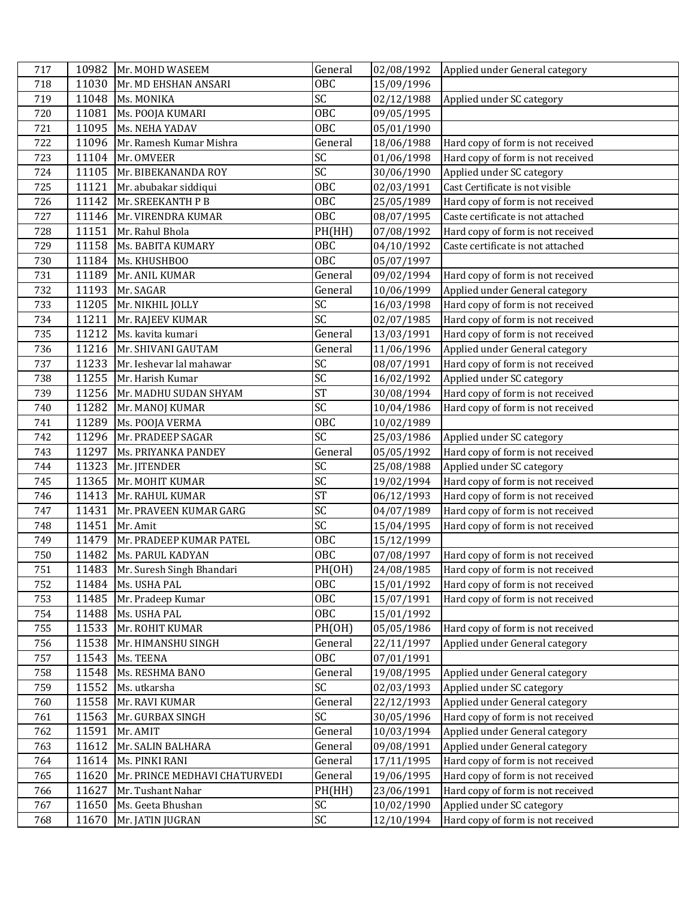| <b>OBC</b><br>15/09/1996<br>718<br>11030<br>Mr. MD EHSHAN ANSARI<br>SC<br>719<br>11048<br>Ms. MONIKA<br>Applied under SC category<br>02/12/1988<br>OBC<br>11081<br>720<br>Ms. POOJA KUMARI<br>09/05/1995<br>OBC<br>11095<br>Ms. NEHA YADAV<br>05/01/1990<br>721<br>722<br>11096<br>Mr. Ramesh Kumar Mishra<br>General<br>Hard copy of form is not received<br>18/06/1988<br>SC<br>723<br>11104<br>Hard copy of form is not received<br>Mr. OMVEER<br>01/06/1998<br>SC<br>11105<br>30/06/1990<br>Applied under SC category<br>724<br>Mr. BIBEKANANDA ROY<br>OBC<br>11121<br>Cast Certificate is not visible<br>725<br>Mr. abubakar siddiqui<br>02/03/1991<br>11142<br><b>OBC</b><br>25/05/1989<br>Hard copy of form is not received<br>726<br>Mr. SREEKANTH P B<br>$\overline{OBC}$<br>11146 Mr. VIRENDRA KUMAR<br>Caste certificate is not attached<br>727<br>08/07/1995<br>11151<br>PH(HH)<br>Hard copy of form is not received<br>728<br>Mr. Rahul Bhola<br>07/08/1992<br><b>OBC</b><br>Caste certificate is not attached<br>729<br>11158<br>Ms. BABITA KUMARY<br>04/10/1992<br><b>OBC</b><br>730<br>11184<br>Ms. KHUSHBOO<br>05/07/1997<br>General<br>731<br>11189<br>Mr. ANIL KUMAR<br>09/02/1994<br>Hard copy of form is not received<br>732<br>11193<br>Applied under General category<br>Mr. SAGAR<br>General<br>10/06/1999<br>SC<br>11205<br>733<br>Mr. NIKHIL JOLLY<br>16/03/1998<br>Hard copy of form is not received<br>$\overline{SC}$<br>11211<br>Hard copy of form is not received<br>02/07/1985<br>734<br>Mr. RAJEEV KUMAR<br>11212<br>735<br>Ms. kavita kumari<br>13/03/1991<br>Hard copy of form is not received<br>General<br>736<br>11216<br>General<br>11/06/1996<br>Applied under General category<br>Mr. SHIVANI GAUTAM<br>SC<br>737<br>11233<br>Mr. Ieshevar lal mahawar<br>08/07/1991<br>Hard copy of form is not received |  |
|----------------------------------------------------------------------------------------------------------------------------------------------------------------------------------------------------------------------------------------------------------------------------------------------------------------------------------------------------------------------------------------------------------------------------------------------------------------------------------------------------------------------------------------------------------------------------------------------------------------------------------------------------------------------------------------------------------------------------------------------------------------------------------------------------------------------------------------------------------------------------------------------------------------------------------------------------------------------------------------------------------------------------------------------------------------------------------------------------------------------------------------------------------------------------------------------------------------------------------------------------------------------------------------------------------------------------------------------------------------------------------------------------------------------------------------------------------------------------------------------------------------------------------------------------------------------------------------------------------------------------------------------------------------------------------------------------------------------------------------------------------------------------------------------------------------------------------------------------|--|
|                                                                                                                                                                                                                                                                                                                                                                                                                                                                                                                                                                                                                                                                                                                                                                                                                                                                                                                                                                                                                                                                                                                                                                                                                                                                                                                                                                                                                                                                                                                                                                                                                                                                                                                                                                                                                                                    |  |
|                                                                                                                                                                                                                                                                                                                                                                                                                                                                                                                                                                                                                                                                                                                                                                                                                                                                                                                                                                                                                                                                                                                                                                                                                                                                                                                                                                                                                                                                                                                                                                                                                                                                                                                                                                                                                                                    |  |
|                                                                                                                                                                                                                                                                                                                                                                                                                                                                                                                                                                                                                                                                                                                                                                                                                                                                                                                                                                                                                                                                                                                                                                                                                                                                                                                                                                                                                                                                                                                                                                                                                                                                                                                                                                                                                                                    |  |
|                                                                                                                                                                                                                                                                                                                                                                                                                                                                                                                                                                                                                                                                                                                                                                                                                                                                                                                                                                                                                                                                                                                                                                                                                                                                                                                                                                                                                                                                                                                                                                                                                                                                                                                                                                                                                                                    |  |
|                                                                                                                                                                                                                                                                                                                                                                                                                                                                                                                                                                                                                                                                                                                                                                                                                                                                                                                                                                                                                                                                                                                                                                                                                                                                                                                                                                                                                                                                                                                                                                                                                                                                                                                                                                                                                                                    |  |
|                                                                                                                                                                                                                                                                                                                                                                                                                                                                                                                                                                                                                                                                                                                                                                                                                                                                                                                                                                                                                                                                                                                                                                                                                                                                                                                                                                                                                                                                                                                                                                                                                                                                                                                                                                                                                                                    |  |
|                                                                                                                                                                                                                                                                                                                                                                                                                                                                                                                                                                                                                                                                                                                                                                                                                                                                                                                                                                                                                                                                                                                                                                                                                                                                                                                                                                                                                                                                                                                                                                                                                                                                                                                                                                                                                                                    |  |
|                                                                                                                                                                                                                                                                                                                                                                                                                                                                                                                                                                                                                                                                                                                                                                                                                                                                                                                                                                                                                                                                                                                                                                                                                                                                                                                                                                                                                                                                                                                                                                                                                                                                                                                                                                                                                                                    |  |
|                                                                                                                                                                                                                                                                                                                                                                                                                                                                                                                                                                                                                                                                                                                                                                                                                                                                                                                                                                                                                                                                                                                                                                                                                                                                                                                                                                                                                                                                                                                                                                                                                                                                                                                                                                                                                                                    |  |
|                                                                                                                                                                                                                                                                                                                                                                                                                                                                                                                                                                                                                                                                                                                                                                                                                                                                                                                                                                                                                                                                                                                                                                                                                                                                                                                                                                                                                                                                                                                                                                                                                                                                                                                                                                                                                                                    |  |
|                                                                                                                                                                                                                                                                                                                                                                                                                                                                                                                                                                                                                                                                                                                                                                                                                                                                                                                                                                                                                                                                                                                                                                                                                                                                                                                                                                                                                                                                                                                                                                                                                                                                                                                                                                                                                                                    |  |
|                                                                                                                                                                                                                                                                                                                                                                                                                                                                                                                                                                                                                                                                                                                                                                                                                                                                                                                                                                                                                                                                                                                                                                                                                                                                                                                                                                                                                                                                                                                                                                                                                                                                                                                                                                                                                                                    |  |
|                                                                                                                                                                                                                                                                                                                                                                                                                                                                                                                                                                                                                                                                                                                                                                                                                                                                                                                                                                                                                                                                                                                                                                                                                                                                                                                                                                                                                                                                                                                                                                                                                                                                                                                                                                                                                                                    |  |
|                                                                                                                                                                                                                                                                                                                                                                                                                                                                                                                                                                                                                                                                                                                                                                                                                                                                                                                                                                                                                                                                                                                                                                                                                                                                                                                                                                                                                                                                                                                                                                                                                                                                                                                                                                                                                                                    |  |
|                                                                                                                                                                                                                                                                                                                                                                                                                                                                                                                                                                                                                                                                                                                                                                                                                                                                                                                                                                                                                                                                                                                                                                                                                                                                                                                                                                                                                                                                                                                                                                                                                                                                                                                                                                                                                                                    |  |
|                                                                                                                                                                                                                                                                                                                                                                                                                                                                                                                                                                                                                                                                                                                                                                                                                                                                                                                                                                                                                                                                                                                                                                                                                                                                                                                                                                                                                                                                                                                                                                                                                                                                                                                                                                                                                                                    |  |
|                                                                                                                                                                                                                                                                                                                                                                                                                                                                                                                                                                                                                                                                                                                                                                                                                                                                                                                                                                                                                                                                                                                                                                                                                                                                                                                                                                                                                                                                                                                                                                                                                                                                                                                                                                                                                                                    |  |
|                                                                                                                                                                                                                                                                                                                                                                                                                                                                                                                                                                                                                                                                                                                                                                                                                                                                                                                                                                                                                                                                                                                                                                                                                                                                                                                                                                                                                                                                                                                                                                                                                                                                                                                                                                                                                                                    |  |
|                                                                                                                                                                                                                                                                                                                                                                                                                                                                                                                                                                                                                                                                                                                                                                                                                                                                                                                                                                                                                                                                                                                                                                                                                                                                                                                                                                                                                                                                                                                                                                                                                                                                                                                                                                                                                                                    |  |
|                                                                                                                                                                                                                                                                                                                                                                                                                                                                                                                                                                                                                                                                                                                                                                                                                                                                                                                                                                                                                                                                                                                                                                                                                                                                                                                                                                                                                                                                                                                                                                                                                                                                                                                                                                                                                                                    |  |
| SC<br>11255<br>Applied under SC category<br>738<br>Mr. Harish Kumar<br>16/02/1992                                                                                                                                                                                                                                                                                                                                                                                                                                                                                                                                                                                                                                                                                                                                                                                                                                                                                                                                                                                                                                                                                                                                                                                                                                                                                                                                                                                                                                                                                                                                                                                                                                                                                                                                                                  |  |
| <b>ST</b><br>11256<br>Hard copy of form is not received<br>739<br>Mr. MADHU SUDAN SHYAM<br>30/08/1994                                                                                                                                                                                                                                                                                                                                                                                                                                                                                                                                                                                                                                                                                                                                                                                                                                                                                                                                                                                                                                                                                                                                                                                                                                                                                                                                                                                                                                                                                                                                                                                                                                                                                                                                              |  |
| $\overline{SC}$<br>11282<br>Hard copy of form is not received<br>10/04/1986<br>740<br>Mr. MANOJ KUMAR                                                                                                                                                                                                                                                                                                                                                                                                                                                                                                                                                                                                                                                                                                                                                                                                                                                                                                                                                                                                                                                                                                                                                                                                                                                                                                                                                                                                                                                                                                                                                                                                                                                                                                                                              |  |
| OBC<br>11289<br>741<br>Ms. POOJA VERMA<br>10/02/1989                                                                                                                                                                                                                                                                                                                                                                                                                                                                                                                                                                                                                                                                                                                                                                                                                                                                                                                                                                                                                                                                                                                                                                                                                                                                                                                                                                                                                                                                                                                                                                                                                                                                                                                                                                                               |  |
| SC<br>11296<br>Mr. PRADEEP SAGAR<br>Applied under SC category<br>742<br>25/03/1986                                                                                                                                                                                                                                                                                                                                                                                                                                                                                                                                                                                                                                                                                                                                                                                                                                                                                                                                                                                                                                                                                                                                                                                                                                                                                                                                                                                                                                                                                                                                                                                                                                                                                                                                                                 |  |
| 11297<br>General<br>05/05/1992<br>Hard copy of form is not received<br>743<br>Ms. PRIYANKA PANDEY                                                                                                                                                                                                                                                                                                                                                                                                                                                                                                                                                                                                                                                                                                                                                                                                                                                                                                                                                                                                                                                                                                                                                                                                                                                                                                                                                                                                                                                                                                                                                                                                                                                                                                                                                  |  |
| SC<br>11323<br>744<br>Mr. JITENDER<br>25/08/1988<br>Applied under SC category                                                                                                                                                                                                                                                                                                                                                                                                                                                                                                                                                                                                                                                                                                                                                                                                                                                                                                                                                                                                                                                                                                                                                                                                                                                                                                                                                                                                                                                                                                                                                                                                                                                                                                                                                                      |  |
| SC<br>11365<br>Mr. MOHIT KUMAR<br>19/02/1994<br>Hard copy of form is not received<br>745                                                                                                                                                                                                                                                                                                                                                                                                                                                                                                                                                                                                                                                                                                                                                                                                                                                                                                                                                                                                                                                                                                                                                                                                                                                                                                                                                                                                                                                                                                                                                                                                                                                                                                                                                           |  |
| <b>ST</b><br>11413<br>06/12/1993<br>Hard copy of form is not received<br>746<br>Mr. RAHUL KUMAR                                                                                                                                                                                                                                                                                                                                                                                                                                                                                                                                                                                                                                                                                                                                                                                                                                                                                                                                                                                                                                                                                                                                                                                                                                                                                                                                                                                                                                                                                                                                                                                                                                                                                                                                                    |  |
| SC<br>747<br>11431<br>Hard copy of form is not received<br>Mr. PRAVEEN KUMAR GARG<br>04/07/1989                                                                                                                                                                                                                                                                                                                                                                                                                                                                                                                                                                                                                                                                                                                                                                                                                                                                                                                                                                                                                                                                                                                                                                                                                                                                                                                                                                                                                                                                                                                                                                                                                                                                                                                                                    |  |
| SC<br>11451<br>Hard copy of form is not received<br>748<br>Mr. Amit<br>15/04/1995                                                                                                                                                                                                                                                                                                                                                                                                                                                                                                                                                                                                                                                                                                                                                                                                                                                                                                                                                                                                                                                                                                                                                                                                                                                                                                                                                                                                                                                                                                                                                                                                                                                                                                                                                                  |  |
| OBC<br>11479<br>Mr. PRADEEP KUMAR PATEL<br>15/12/1999<br>749                                                                                                                                                                                                                                                                                                                                                                                                                                                                                                                                                                                                                                                                                                                                                                                                                                                                                                                                                                                                                                                                                                                                                                                                                                                                                                                                                                                                                                                                                                                                                                                                                                                                                                                                                                                       |  |
| OBC<br>11482<br>750<br>Ms. PARUL KADYAN<br>07/08/1997<br>Hard copy of form is not received                                                                                                                                                                                                                                                                                                                                                                                                                                                                                                                                                                                                                                                                                                                                                                                                                                                                                                                                                                                                                                                                                                                                                                                                                                                                                                                                                                                                                                                                                                                                                                                                                                                                                                                                                         |  |
| PH(OH)<br>24/08/1985<br>Hard copy of form is not received<br>751<br>11483 Mr. Suresh Singh Bhandari                                                                                                                                                                                                                                                                                                                                                                                                                                                                                                                                                                                                                                                                                                                                                                                                                                                                                                                                                                                                                                                                                                                                                                                                                                                                                                                                                                                                                                                                                                                                                                                                                                                                                                                                                |  |
| OBC<br>Hard copy of form is not received<br>752<br>11484<br>Ms. USHA PAL<br>15/01/1992                                                                                                                                                                                                                                                                                                                                                                                                                                                                                                                                                                                                                                                                                                                                                                                                                                                                                                                                                                                                                                                                                                                                                                                                                                                                                                                                                                                                                                                                                                                                                                                                                                                                                                                                                             |  |
| <b>OBC</b><br>11485<br>Mr. Pradeep Kumar<br>15/07/1991<br>Hard copy of form is not received<br>753                                                                                                                                                                                                                                                                                                                                                                                                                                                                                                                                                                                                                                                                                                                                                                                                                                                                                                                                                                                                                                                                                                                                                                                                                                                                                                                                                                                                                                                                                                                                                                                                                                                                                                                                                 |  |
| <b>OBC</b><br>11488<br>754<br>Ms. USHA PAL<br>15/01/1992                                                                                                                                                                                                                                                                                                                                                                                                                                                                                                                                                                                                                                                                                                                                                                                                                                                                                                                                                                                                                                                                                                                                                                                                                                                                                                                                                                                                                                                                                                                                                                                                                                                                                                                                                                                           |  |
| 11533<br>PH(OH)<br>Hard copy of form is not received<br>755<br>Mr. ROHIT KUMAR<br>05/05/1986                                                                                                                                                                                                                                                                                                                                                                                                                                                                                                                                                                                                                                                                                                                                                                                                                                                                                                                                                                                                                                                                                                                                                                                                                                                                                                                                                                                                                                                                                                                                                                                                                                                                                                                                                       |  |
| 11538<br>General<br>22/11/1997<br>Applied under General category<br>756<br>Mr. HIMANSHU SINGH                                                                                                                                                                                                                                                                                                                                                                                                                                                                                                                                                                                                                                                                                                                                                                                                                                                                                                                                                                                                                                                                                                                                                                                                                                                                                                                                                                                                                                                                                                                                                                                                                                                                                                                                                      |  |
| 11543<br><b>OBC</b><br>757<br>Ms. TEENA<br>07/01/1991                                                                                                                                                                                                                                                                                                                                                                                                                                                                                                                                                                                                                                                                                                                                                                                                                                                                                                                                                                                                                                                                                                                                                                                                                                                                                                                                                                                                                                                                                                                                                                                                                                                                                                                                                                                              |  |
| 11548<br>General<br>19/08/1995<br>758<br>Ms. RESHMA BANO<br>Applied under General category                                                                                                                                                                                                                                                                                                                                                                                                                                                                                                                                                                                                                                                                                                                                                                                                                                                                                                                                                                                                                                                                                                                                                                                                                                                                                                                                                                                                                                                                                                                                                                                                                                                                                                                                                         |  |
| SC<br>11552<br>759<br>Ms. utkarsha<br>02/03/1993<br>Applied under SC category                                                                                                                                                                                                                                                                                                                                                                                                                                                                                                                                                                                                                                                                                                                                                                                                                                                                                                                                                                                                                                                                                                                                                                                                                                                                                                                                                                                                                                                                                                                                                                                                                                                                                                                                                                      |  |
| 760<br>11558<br>Mr. RAVI KUMAR<br>22/12/1993<br>Applied under General category<br>General                                                                                                                                                                                                                                                                                                                                                                                                                                                                                                                                                                                                                                                                                                                                                                                                                                                                                                                                                                                                                                                                                                                                                                                                                                                                                                                                                                                                                                                                                                                                                                                                                                                                                                                                                          |  |
| SC<br>11563<br>30/05/1996<br>Hard copy of form is not received<br>761<br>Mr. GURBAX SINGH                                                                                                                                                                                                                                                                                                                                                                                                                                                                                                                                                                                                                                                                                                                                                                                                                                                                                                                                                                                                                                                                                                                                                                                                                                                                                                                                                                                                                                                                                                                                                                                                                                                                                                                                                          |  |
| General<br>11591<br>10/03/1994<br>Applied under General category<br>762<br>Mr. AMIT                                                                                                                                                                                                                                                                                                                                                                                                                                                                                                                                                                                                                                                                                                                                                                                                                                                                                                                                                                                                                                                                                                                                                                                                                                                                                                                                                                                                                                                                                                                                                                                                                                                                                                                                                                |  |
| 11612<br>763<br>Mr. SALIN BALHARA<br>General<br>09/08/1991<br>Applied under General category                                                                                                                                                                                                                                                                                                                                                                                                                                                                                                                                                                                                                                                                                                                                                                                                                                                                                                                                                                                                                                                                                                                                                                                                                                                                                                                                                                                                                                                                                                                                                                                                                                                                                                                                                       |  |
| 11614<br>Ms. PINKI RANI<br>General<br>17/11/1995<br>Hard copy of form is not received<br>764                                                                                                                                                                                                                                                                                                                                                                                                                                                                                                                                                                                                                                                                                                                                                                                                                                                                                                                                                                                                                                                                                                                                                                                                                                                                                                                                                                                                                                                                                                                                                                                                                                                                                                                                                       |  |
| Hard copy of form is not received<br>11620<br>General<br>19/06/1995<br>765<br>Mr. PRINCE MEDHAVI CHATURVEDI                                                                                                                                                                                                                                                                                                                                                                                                                                                                                                                                                                                                                                                                                                                                                                                                                                                                                                                                                                                                                                                                                                                                                                                                                                                                                                                                                                                                                                                                                                                                                                                                                                                                                                                                        |  |
| 11627<br>Mr. Tushant Nahar<br>PH(HH)<br>23/06/1991<br>Hard copy of form is not received<br>766                                                                                                                                                                                                                                                                                                                                                                                                                                                                                                                                                                                                                                                                                                                                                                                                                                                                                                                                                                                                                                                                                                                                                                                                                                                                                                                                                                                                                                                                                                                                                                                                                                                                                                                                                     |  |
| 11650<br>Ms. Geeta Bhushan<br>SC<br>Applied under SC category<br>767<br>10/02/1990                                                                                                                                                                                                                                                                                                                                                                                                                                                                                                                                                                                                                                                                                                                                                                                                                                                                                                                                                                                                                                                                                                                                                                                                                                                                                                                                                                                                                                                                                                                                                                                                                                                                                                                                                                 |  |
| SC<br>768<br>11670<br>Mr. JATIN JUGRAN<br>12/10/1994<br>Hard copy of form is not received                                                                                                                                                                                                                                                                                                                                                                                                                                                                                                                                                                                                                                                                                                                                                                                                                                                                                                                                                                                                                                                                                                                                                                                                                                                                                                                                                                                                                                                                                                                                                                                                                                                                                                                                                          |  |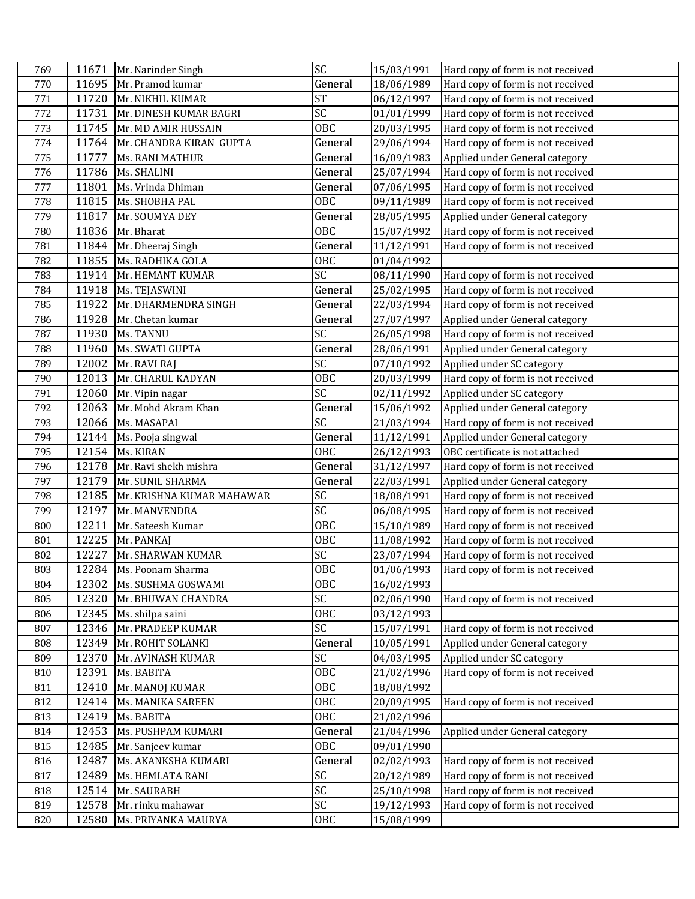| 769 | 11671 | Mr. Narinder Singh        | SC              | 15/03/1991 | Hard copy of form is not received |
|-----|-------|---------------------------|-----------------|------------|-----------------------------------|
| 770 | 11695 | Mr. Pramod kumar          | General         | 18/06/1989 | Hard copy of form is not received |
| 771 |       | 11720 Mr. NIKHIL KUMAR    | <b>ST</b>       | 06/12/1997 | Hard copy of form is not received |
| 772 | 11731 | Mr. DINESH KUMAR BAGRI    | SC              | 01/01/1999 | Hard copy of form is not received |
| 773 |       | 11745 Mr. MD AMIR HUSSAIN | OBC             | 20/03/1995 | Hard copy of form is not received |
| 774 | 11764 | Mr. CHANDRA KIRAN GUPTA   | General         | 29/06/1994 | Hard copy of form is not received |
| 775 | 11777 | <b>Ms. RANI MATHUR</b>    | General         | 16/09/1983 | Applied under General category    |
| 776 | 11786 | Ms. SHALINI               | General         | 25/07/1994 | Hard copy of form is not received |
| 777 | 11801 | Ms. Vrinda Dhiman         | General         | 07/06/1995 | Hard copy of form is not received |
| 778 |       | 11815 Ms. SHOBHA PAL      | <b>OBC</b>      | 09/11/1989 | Hard copy of form is not received |
| 779 | 11817 | Mr. SOUMYA DEY            | General         | 28/05/1995 | Applied under General category    |
| 780 | 11836 | Mr. Bharat                | <b>OBC</b>      | 15/07/1992 | Hard copy of form is not received |
| 781 | 11844 | Mr. Dheeraj Singh         | General         | 11/12/1991 | Hard copy of form is not received |
| 782 | 11855 | Ms. RADHIKA GOLA          | <b>OBC</b>      | 01/04/1992 |                                   |
| 783 | 11914 | Mr. HEMANT KUMAR          | SC              | 08/11/1990 | Hard copy of form is not received |
| 784 |       | 11918 Ms. TEJASWINI       | General         | 25/02/1995 | Hard copy of form is not received |
| 785 | 11922 | Mr. DHARMENDRA SINGH      | General         | 22/03/1994 | Hard copy of form is not received |
| 786 | 11928 | Mr. Chetan kumar          | General         | 27/07/1997 | Applied under General category    |
| 787 | 11930 | Ms. TANNU                 | SC              | 26/05/1998 | Hard copy of form is not received |
| 788 | 11960 | Ms. SWATI GUPTA           | General         | 28/06/1991 | Applied under General category    |
| 789 | 12002 | Mr. RAVI RAJ              | SC              | 07/10/1992 | Applied under SC category         |
| 790 | 12013 | Mr. CHARUL KADYAN         | OBC             | 20/03/1999 | Hard copy of form is not received |
| 791 | 12060 | Mr. Vipin nagar           | SC              | 02/11/1992 | Applied under SC category         |
| 792 | 12063 | Mr. Mohd Akram Khan       | General         | 15/06/1992 | Applied under General category    |
| 793 | 12066 | Ms. MASAPAI               | $\overline{SC}$ | 21/03/1994 | Hard copy of form is not received |
| 794 | 12144 | Ms. Pooja singwal         | General         | 11/12/1991 | Applied under General category    |
| 795 | 12154 | Ms. KIRAN                 | OBC             | 26/12/1993 | OBC certificate is not attached   |
| 796 | 12178 | Mr. Ravi shekh mishra     | General         | 31/12/1997 | Hard copy of form is not received |
| 797 | 12179 | Mr. SUNIL SHARMA          | General         | 22/03/1991 | Applied under General category    |
| 798 | 12185 | Mr. KRISHNA KUMAR MAHAWAR | SC              | 18/08/1991 | Hard copy of form is not received |
| 799 | 12197 | Mr. MANVENDRA             | $\overline{SC}$ | 06/08/1995 | Hard copy of form is not received |
| 800 | 12211 | Mr. Sateesh Kumar         | <b>OBC</b>      | 15/10/1989 | Hard copy of form is not received |
| 801 | 12225 | Mr. PANKAJ                | <b>OBC</b>      | 11/08/1992 | Hard copy of form is not received |
| 802 | 12227 | Mr. SHARWAN KUMAR         | SC              | 23/07/1994 | Hard copy of form is not received |
| 803 |       | 12284   Ms. Poonam Sharma | <b>OBC</b>      | 01/06/1993 | Hard copy of form is not received |
| 804 |       | 12302 Ms. SUSHMA GOSWAMI  | <b>OBC</b>      | 16/02/1993 |                                   |
| 805 | 12320 | Mr. BHUWAN CHANDRA        | SC              | 02/06/1990 | Hard copy of form is not received |
| 806 |       | 12345 Ms. shilpa saini    | <b>OBC</b>      | 03/12/1993 |                                   |
| 807 | 12346 | Mr. PRADEEP KUMAR         | SC              | 15/07/1991 | Hard copy of form is not received |
| 808 | 12349 | Mr. ROHIT SOLANKI         | General         | 10/05/1991 | Applied under General category    |
| 809 | 12370 | Mr. AVINASH KUMAR         | SC              | 04/03/1995 | Applied under SC category         |
| 810 | 12391 | Ms. BABITA                | <b>OBC</b>      | 21/02/1996 | Hard copy of form is not received |
| 811 | 12410 | Mr. MANOJ KUMAR           | 0BC             | 18/08/1992 |                                   |
| 812 | 12414 | Ms. MANIKA SAREEN         | 0BC             | 20/09/1995 | Hard copy of form is not received |
| 813 | 12419 | Ms. BABITA                | <b>OBC</b>      | 21/02/1996 |                                   |
| 814 | 12453 | Ms. PUSHPAM KUMARI        | General         | 21/04/1996 | Applied under General category    |
| 815 | 12485 | Mr. Sanjeev kumar         | 0BC             | 09/01/1990 |                                   |
| 816 | 12487 | Ms. AKANKSHA KUMARI       | General         | 02/02/1993 | Hard copy of form is not received |
| 817 | 12489 | Ms. HEMLATA RANI          | SC              | 20/12/1989 | Hard copy of form is not received |
| 818 | 12514 | Mr. SAURABH               | SC              | 25/10/1998 | Hard copy of form is not received |
| 819 | 12578 | Mr. rinku mahawar         | SC              | 19/12/1993 | Hard copy of form is not received |
| 820 | 12580 | Ms. PRIYANKA MAURYA       | OBC             | 15/08/1999 |                                   |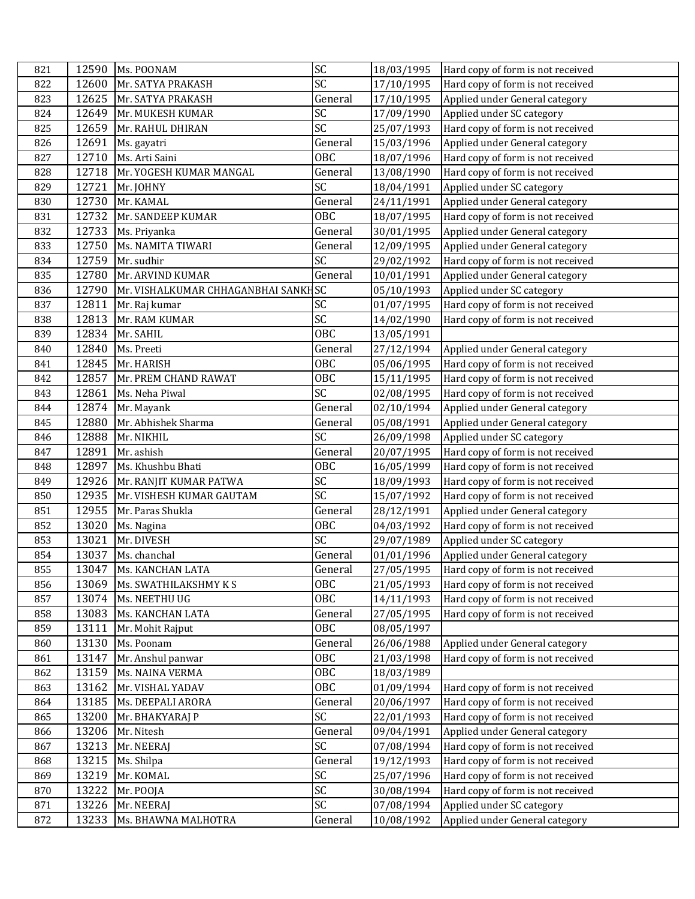| 821 |       | 12590 Ms. POONAM                    | SC                     | 18/03/1995 | Hard copy of form is not received |
|-----|-------|-------------------------------------|------------------------|------------|-----------------------------------|
| 822 | 12600 | Mr. SATYA PRAKASH                   | SC                     | 17/10/1995 | Hard copy of form is not received |
| 823 |       | 12625 Mr. SATYA PRAKASH             | General                | 17/10/1995 | Applied under General category    |
| 824 | 12649 | Mr. MUKESH KUMAR                    | SC                     | 17/09/1990 | Applied under SC category         |
| 825 | 12659 | Mr. RAHUL DHIRAN                    | SC                     | 25/07/1993 | Hard copy of form is not received |
| 826 | 12691 | Ms. gayatri                         | General                | 15/03/1996 | Applied under General category    |
| 827 | 12710 | Ms. Arti Saini                      | <b>OBC</b>             | 18/07/1996 | Hard copy of form is not received |
| 828 | 12718 | Mr. YOGESH KUMAR MANGAL             | General                | 13/08/1990 | Hard copy of form is not received |
| 829 | 12721 | Mr. JOHNY                           | SC                     | 18/04/1991 | Applied under SC category         |
| 830 | 12730 | Mr. KAMAL                           | General                | 24/11/1991 | Applied under General category    |
| 831 | 12732 | Mr. SANDEEP KUMAR                   | <b>OBC</b>             | 18/07/1995 | Hard copy of form is not received |
| 832 | 12733 | Ms. Priyanka                        | General                | 30/01/1995 | Applied under General category    |
| 833 | 12750 | Ms. NAMITA TIWARI                   | General                | 12/09/1995 | Applied under General category    |
| 834 | 12759 | Mr. sudhir                          | SC                     | 29/02/1992 | Hard copy of form is not received |
| 835 | 12780 | Mr. ARVIND KUMAR                    | General                | 10/01/1991 | Applied under General category    |
| 836 | 12790 | Mr. VISHALKUMAR CHHAGANBHAI SANKHSC |                        | 05/10/1993 | Applied under SC category         |
| 837 | 12811 | Mr. Raj kumar                       | SC                     | 01/07/1995 | Hard copy of form is not received |
| 838 | 12813 | Mr. RAM KUMAR                       | $\overline{\text{SC}}$ | 14/02/1990 | Hard copy of form is not received |
| 839 | 12834 | Mr. SAHIL                           | <b>OBC</b>             | 13/05/1991 |                                   |
| 840 | 12840 | Ms. Preeti                          | General                | 27/12/1994 | Applied under General category    |
| 841 | 12845 | Mr. HARISH                          | OBC                    | 05/06/1995 | Hard copy of form is not received |
| 842 | 12857 | Mr. PREM CHAND RAWAT                | <b>OBC</b>             | 15/11/1995 | Hard copy of form is not received |
| 843 | 12861 | Ms. Neha Piwal                      | SC                     | 02/08/1995 | Hard copy of form is not received |
| 844 | 12874 | Mr. Mayank                          | General                | 02/10/1994 | Applied under General category    |
| 845 | 12880 | Mr. Abhishek Sharma                 | General                | 05/08/1991 | Applied under General category    |
| 846 | 12888 | Mr. NIKHIL                          | SC                     | 26/09/1998 | Applied under SC category         |
| 847 | 12891 | Mr. ashish                          | General                | 20/07/1995 | Hard copy of form is not received |
| 848 | 12897 | Ms. Khushbu Bhati                   | <b>OBC</b>             | 16/05/1999 | Hard copy of form is not received |
| 849 |       | 12926 Mr. RANJIT KUMAR PATWA        | SC                     | 18/09/1993 | Hard copy of form is not received |
| 850 | 12935 | Mr. VISHESH KUMAR GAUTAM            | $\overline{SC}$        | 15/07/1992 | Hard copy of form is not received |
| 851 | 12955 | Mr. Paras Shukla                    | General                | 28/12/1991 | Applied under General category    |
| 852 | 13020 | Ms. Nagina                          | 0BC                    | 04/03/1992 | Hard copy of form is not received |
| 853 | 13021 | Mr. DIVESH                          | SC                     | 29/07/1989 | Applied under SC category         |
| 854 | 13037 | Ms. chanchal                        | General                | 01/01/1996 | Applied under General category    |
| 855 | 13047 | Ms. KANCHAN LATA                    | General                | 27/05/1995 | Hard copy of form is not received |
| 856 | 13069 | Ms. SWATHILAKSHMY K S               | 0BC                    | 21/05/1993 | Hard copy of form is not received |
| 857 | 13074 | Ms. NEETHU UG                       | 0BC                    | 14/11/1993 | Hard copy of form is not received |
| 858 | 13083 | Ms. KANCHAN LATA                    | General                | 27/05/1995 | Hard copy of form is not received |
| 859 | 13111 | Mr. Mohit Rajput                    | 0BC                    | 08/05/1997 |                                   |
| 860 | 13130 | Ms. Poonam                          | General                | 26/06/1988 | Applied under General category    |
| 861 | 13147 | Mr. Anshul panwar                   | <b>OBC</b>             | 21/03/1998 | Hard copy of form is not received |
| 862 | 13159 | Ms. NAINA VERMA                     | OBC                    | 18/03/1989 |                                   |
| 863 | 13162 | Mr. VISHAL YADAV                    | 0BC                    | 01/09/1994 | Hard copy of form is not received |
| 864 | 13185 | Ms. DEEPALI ARORA                   | General                | 20/06/1997 | Hard copy of form is not received |
| 865 | 13200 | Mr. BHAKYARAJ P                     | SC                     | 22/01/1993 | Hard copy of form is not received |
| 866 | 13206 | Mr. Nitesh                          | General                | 09/04/1991 | Applied under General category    |
| 867 | 13213 | Mr. NEERAJ                          | SC                     | 07/08/1994 | Hard copy of form is not received |
| 868 | 13215 | Ms. Shilpa                          | General                | 19/12/1993 | Hard copy of form is not received |
| 869 | 13219 | Mr. KOMAL                           | SC                     | 25/07/1996 | Hard copy of form is not received |
| 870 | 13222 | Mr. POOJA                           | SC                     | 30/08/1994 | Hard copy of form is not received |
| 871 | 13226 | Mr. NEERAJ                          | SC                     | 07/08/1994 | Applied under SC category         |
| 872 | 13233 | Ms. BHAWNA MALHOTRA                 | General                | 10/08/1992 | Applied under General category    |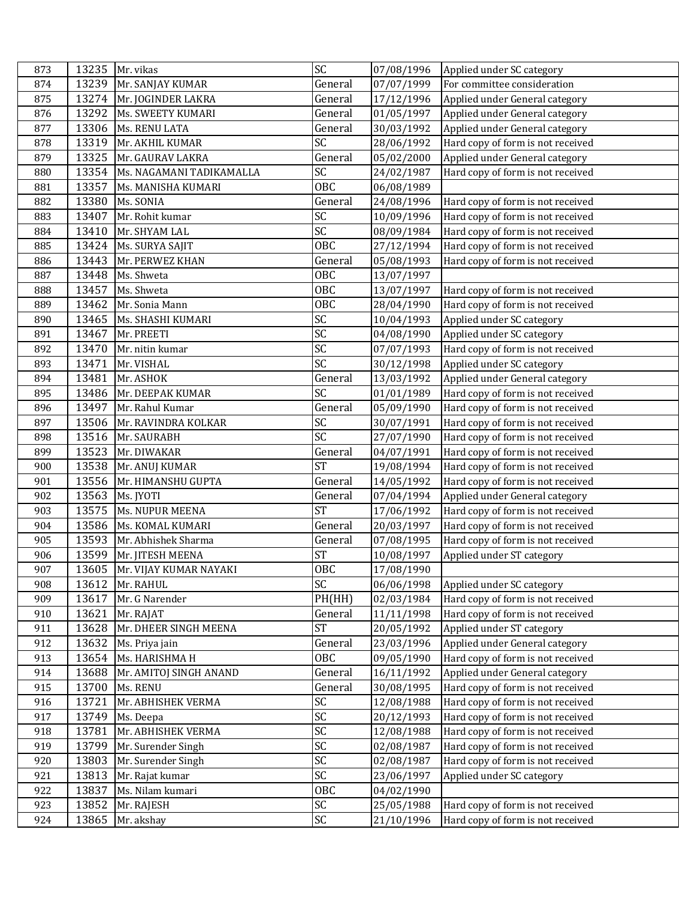| 873 |       | 13235 Mr. vikas                | SC              | 07/08/1996 | Applied under SC category         |
|-----|-------|--------------------------------|-----------------|------------|-----------------------------------|
| 874 | 13239 | Mr. SANJAY KUMAR               | General         | 07/07/1999 | For committee consideration       |
| 875 |       | 13274 Mr. JOGINDER LAKRA       | General         | 17/12/1996 | Applied under General category    |
| 876 | 13292 | <b>Ms. SWEETY KUMARI</b>       | General         | 01/05/1997 | Applied under General category    |
| 877 | 13306 | Ms. RENU LATA                  | General         | 30/03/1992 | Applied under General category    |
| 878 | 13319 | Mr. AKHIL KUMAR                | SC              | 28/06/1992 | Hard copy of form is not received |
| 879 | 13325 | Mr. GAURAV LAKRA               | General         | 05/02/2000 | Applied under General category    |
| 880 | 13354 | Ms. NAGAMANI TADIKAMALLA       | SC              | 24/02/1987 | Hard copy of form is not received |
| 881 | 13357 | Ms. MANISHA KUMARI             | OBC             | 06/08/1989 |                                   |
| 882 | 13380 | Ms. SONIA                      | General         | 24/08/1996 | Hard copy of form is not received |
| 883 | 13407 | Mr. Rohit kumar                | $\overline{SC}$ | 10/09/1996 | Hard copy of form is not received |
| 884 | 13410 | Mr. SHYAM LAL                  | $\overline{SC}$ | 08/09/1984 | Hard copy of form is not received |
| 885 | 13424 | Ms. SURYA SAJIT                | <b>OBC</b>      | 27/12/1994 | Hard copy of form is not received |
| 886 | 13443 | Mr. PERWEZ KHAN                | General         | 05/08/1993 | Hard copy of form is not received |
| 887 | 13448 | Ms. Shweta                     | <b>OBC</b>      | 13/07/1997 |                                   |
| 888 | 13457 | Ms. Shweta                     | <b>OBC</b>      | 13/07/1997 | Hard copy of form is not received |
| 889 | 13462 | Mr. Sonia Mann                 | <b>OBC</b>      | 28/04/1990 | Hard copy of form is not received |
| 890 | 13465 | Ms. SHASHI KUMARI              | $\overline{SC}$ | 10/04/1993 | Applied under SC category         |
| 891 | 13467 | Mr. PREETI                     | SC              | 04/08/1990 | Applied under SC category         |
| 892 | 13470 | Mr. nitin kumar                | SC              | 07/07/1993 | Hard copy of form is not received |
| 893 | 13471 | Mr. VISHAL                     | SC              | 30/12/1998 | Applied under SC category         |
| 894 | 13481 | Mr. ASHOK                      | General         | 13/03/1992 | Applied under General category    |
| 895 | 13486 | Mr. DEEPAK KUMAR               | SC              | 01/01/1989 | Hard copy of form is not received |
| 896 | 13497 | Mr. Rahul Kumar                | General         | 05/09/1990 | Hard copy of form is not received |
| 897 | 13506 | Mr. RAVINDRA KOLKAR            | SC              | 30/07/1991 | Hard copy of form is not received |
| 898 | 13516 | Mr. SAURABH                    | SC              | 27/07/1990 | Hard copy of form is not received |
| 899 | 13523 | Mr. DIWAKAR                    | General         | 04/07/1991 | Hard copy of form is not received |
| 900 | 13538 | Mr. ANUJ KUMAR                 | <b>ST</b>       | 19/08/1994 | Hard copy of form is not received |
| 901 | 13556 | Mr. HIMANSHU GUPTA             | General         | 14/05/1992 | Hard copy of form is not received |
| 902 | 13563 | Ms. JYOTI                      | General         | 07/04/1994 | Applied under General category    |
| 903 | 13575 | Ms. NUPUR MEENA                | <b>ST</b>       | 17/06/1992 | Hard copy of form is not received |
| 904 | 13586 | Ms. KOMAL KUMARI               | General         | 20/03/1997 | Hard copy of form is not received |
| 905 | 13593 | Mr. Abhishek Sharma            | General         | 07/08/1995 | Hard copy of form is not received |
| 906 | 13599 | Mr. JITESH MEENA               | <b>ST</b>       | 10/08/1997 | Applied under ST category         |
| 907 |       | 13605   Mr. VIJAY KUMAR NAYAKI | OBC             | 17/08/1990 |                                   |
| 908 |       | 13612 Mr. RAHUL                | SC              | 06/06/1998 | Applied under SC category         |
| 909 | 13617 | Mr. G Narender                 | PH(HH)          | 02/03/1984 | Hard copy of form is not received |
| 910 | 13621 | Mr. RAJAT                      | General         | 11/11/1998 | Hard copy of form is not received |
| 911 | 13628 | Mr. DHEER SINGH MEENA          | <b>ST</b>       | 20/05/1992 | Applied under ST category         |
| 912 | 13632 | Ms. Priya jain                 | General         | 23/03/1996 | Applied under General category    |
| 913 | 13654 | Ms. HARISHMA H                 | OBC             | 09/05/1990 | Hard copy of form is not received |
| 914 | 13688 | Mr. AMITOJ SINGH ANAND         | General         | 16/11/1992 | Applied under General category    |
| 915 | 13700 | Ms. RENU                       | General         | 30/08/1995 | Hard copy of form is not received |
| 916 | 13721 | Mr. ABHISHEK VERMA             | SC              | 12/08/1988 | Hard copy of form is not received |
| 917 | 13749 | Ms. Deepa                      | SC              | 20/12/1993 | Hard copy of form is not received |
| 918 | 13781 | Mr. ABHISHEK VERMA             | SC              | 12/08/1988 | Hard copy of form is not received |
| 919 | 13799 | Mr. Surender Singh             | SC              | 02/08/1987 | Hard copy of form is not received |
| 920 | 13803 | Mr. Surender Singh             | SC              | 02/08/1987 | Hard copy of form is not received |
| 921 | 13813 | Mr. Rajat kumar                | SC              | 23/06/1997 | Applied under SC category         |
| 922 | 13837 | Ms. Nilam kumari               | <b>OBC</b>      | 04/02/1990 |                                   |
| 923 | 13852 | Mr. RAJESH                     | SC              | 25/05/1988 | Hard copy of form is not received |
| 924 | 13865 | Mr. akshay                     | SC              | 21/10/1996 | Hard copy of form is not received |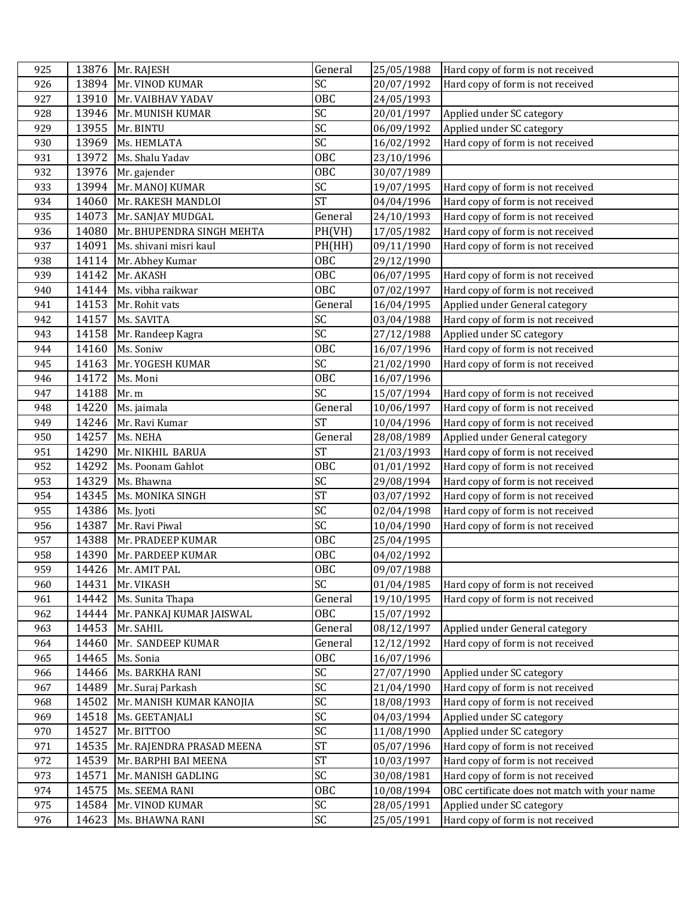| 925 |       | 13876 Mr. RAJESH          | General         | 25/05/1988 | Hard copy of form is not received             |
|-----|-------|---------------------------|-----------------|------------|-----------------------------------------------|
| 926 | 13894 | Mr. VINOD KUMAR           | SC              | 20/07/1992 | Hard copy of form is not received             |
| 927 | 13910 | Mr. VAIBHAV YADAV         | OBC             | 24/05/1993 |                                               |
| 928 | 13946 | Mr. MUNISH KUMAR          | SC              | 20/01/1997 | Applied under SC category                     |
| 929 | 13955 | Mr. BINTU                 | SC              | 06/09/1992 | Applied under SC category                     |
| 930 | 13969 | Ms. HEMLATA               | $\overline{SC}$ | 16/02/1992 | Hard copy of form is not received             |
| 931 | 13972 | Ms. Shalu Yadav           | <b>OBC</b>      | 23/10/1996 |                                               |
| 932 | 13976 | Mr. gajender              | <b>OBC</b>      | 30/07/1989 |                                               |
| 933 | 13994 | Mr. MANOJ KUMAR           | SC              | 19/07/1995 | Hard copy of form is not received             |
| 934 | 14060 | Mr. RAKESH MANDLOI        | <b>ST</b>       | 04/04/1996 | Hard copy of form is not received             |
| 935 | 14073 | Mr. SANJAY MUDGAL         | General         | 24/10/1993 | Hard copy of form is not received             |
| 936 | 14080 | Mr. BHUPENDRA SINGH MEHTA | PH(VH)          | 17/05/1982 | Hard copy of form is not received             |
| 937 | 14091 | Ms. shivani misri kaul    | PH(HH)          | 09/11/1990 | Hard copy of form is not received             |
| 938 | 14114 | Mr. Abhey Kumar           | OBC             | 29/12/1990 |                                               |
| 939 | 14142 | Mr. AKASH                 | <b>OBC</b>      | 06/07/1995 | Hard copy of form is not received             |
| 940 | 14144 | Ms. vibha raikwar         | <b>OBC</b>      | 07/02/1997 | Hard copy of form is not received             |
| 941 | 14153 | Mr. Rohit vats            | General         | 16/04/1995 | Applied under General category                |
| 942 | 14157 | Ms. SAVITA                | $\overline{SC}$ | 03/04/1988 | Hard copy of form is not received             |
| 943 | 14158 | Mr. Randeep Kagra         | $\overline{SC}$ | 27/12/1988 | Applied under SC category                     |
| 944 | 14160 | Ms. Soniw                 | <b>OBC</b>      | 16/07/1996 | Hard copy of form is not received             |
| 945 | 14163 | Mr. YOGESH KUMAR          | SC              | 21/02/1990 | Hard copy of form is not received             |
| 946 | 14172 | Ms. Moni                  | OBC             | 16/07/1996 |                                               |
| 947 | 14188 | Mr. m                     | SC              | 15/07/1994 | Hard copy of form is not received             |
| 948 | 14220 | Ms. jaimala               | General         | 10/06/1997 | Hard copy of form is not received             |
| 949 | 14246 | Mr. Ravi Kumar            | <b>ST</b>       | 10/04/1996 | Hard copy of form is not received             |
| 950 | 14257 | Ms. NEHA                  | General         | 28/08/1989 | Applied under General category                |
| 951 | 14290 | Mr. NIKHIL BARUA          | <b>ST</b>       | 21/03/1993 | Hard copy of form is not received             |
| 952 | 14292 | Ms. Poonam Gahlot         | OBC             | 01/01/1992 | Hard copy of form is not received             |
| 953 | 14329 | Ms. Bhawna                | SC              | 29/08/1994 | Hard copy of form is not received             |
| 954 | 14345 | Ms. MONIKA SINGH          | <b>ST</b>       | 03/07/1992 | Hard copy of form is not received             |
| 955 | 14386 | Ms. Jyoti                 | $\overline{SC}$ | 02/04/1998 | Hard copy of form is not received             |
| 956 | 14387 | Mr. Ravi Piwal            | SC              | 10/04/1990 | Hard copy of form is not received             |
| 957 | 14388 | Mr. PRADEEP KUMAR         | <b>OBC</b>      | 25/04/1995 |                                               |
| 958 | 14390 | Mr. PARDEEP KUMAR         | <b>OBC</b>      | 04/02/1992 |                                               |
| 959 |       | 14426 Mr. AMIT PAL        | <b>OBC</b>      | 09/07/1988 |                                               |
| 960 | 14431 | Mr. VIKASH                | SC              | 01/04/1985 | Hard copy of form is not received             |
| 961 | 14442 | Ms. Sunita Thapa          | General         | 19/10/1995 | Hard copy of form is not received             |
| 962 | 14444 | Mr. PANKAJ KUMAR JAISWAL  | OBC             | 15/07/1992 |                                               |
| 963 | 14453 | Mr. SAHIL                 | General         | 08/12/1997 | Applied under General category                |
| 964 | 14460 | Mr. SANDEEP KUMAR         | General         | 12/12/1992 | Hard copy of form is not received             |
| 965 | 14465 | Ms. Sonia                 | OBC             | 16/07/1996 |                                               |
| 966 | 14466 | Ms. BARKHA RANI           | SC              | 27/07/1990 | Applied under SC category                     |
| 967 | 14489 | Mr. Suraj Parkash         | SC              | 21/04/1990 | Hard copy of form is not received             |
| 968 | 14502 | Mr. MANISH KUMAR KANOJIA  | SC              | 18/08/1993 | Hard copy of form is not received             |
| 969 | 14518 | Ms. GEETANJALI            | SC              | 04/03/1994 | Applied under SC category                     |
| 970 | 14527 | Mr. BITTOO                | SC              | 11/08/1990 | Applied under SC category                     |
| 971 | 14535 | Mr. RAJENDRA PRASAD MEENA | <b>ST</b>       | 05/07/1996 | Hard copy of form is not received             |
| 972 | 14539 | Mr. BARPHI BAI MEENA      | <b>ST</b>       | 10/03/1997 | Hard copy of form is not received             |
| 973 | 14571 | Mr. MANISH GADLING        | SC              | 30/08/1981 | Hard copy of form is not received             |
| 974 | 14575 | Ms. SEEMA RANI            | <b>OBC</b>      | 10/08/1994 | OBC certificate does not match with your name |
| 975 | 14584 | Mr. VINOD KUMAR           | SC              | 28/05/1991 | Applied under SC category                     |
| 976 | 14623 | Ms. BHAWNA RANI           | SC              | 25/05/1991 | Hard copy of form is not received             |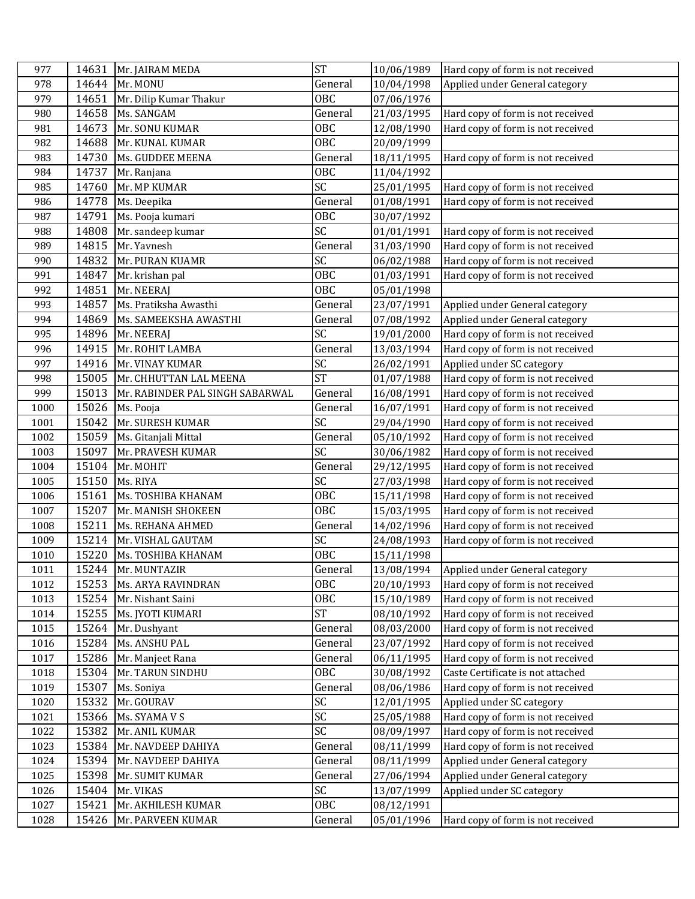| 977  | 14631 | Mr. JAIRAM MEDA                 | <b>ST</b>       | 10/06/1989 | Hard copy of form is not received |
|------|-------|---------------------------------|-----------------|------------|-----------------------------------|
| 978  | 14644 | Mr. MONU                        | General         | 10/04/1998 | Applied under General category    |
| 979  | 14651 | Mr. Dilip Kumar Thakur          | <b>OBC</b>      | 07/06/1976 |                                   |
| 980  | 14658 | Ms. SANGAM                      | General         | 21/03/1995 | Hard copy of form is not received |
| 981  | 14673 | Mr. SONU KUMAR                  | OBC             | 12/08/1990 | Hard copy of form is not received |
| 982  | 14688 | Mr. KUNAL KUMAR                 | <b>OBC</b>      | 20/09/1999 |                                   |
| 983  | 14730 | Ms. GUDDEE MEENA                | General         | 18/11/1995 | Hard copy of form is not received |
| 984  | 14737 | Mr. Ranjana                     | <b>OBC</b>      | 11/04/1992 |                                   |
| 985  | 14760 | Mr. MP KUMAR                    | SC              | 25/01/1995 | Hard copy of form is not received |
| 986  | 14778 | Ms. Deepika                     | General         | 01/08/1991 | Hard copy of form is not received |
| 987  | 14791 | Ms. Pooja kumari                | OBC             | 30/07/1992 |                                   |
| 988  | 14808 | Mr. sandeep kumar               | $\overline{SC}$ | 01/01/1991 | Hard copy of form is not received |
| 989  | 14815 | Mr. Yavnesh                     | General         | 31/03/1990 | Hard copy of form is not received |
| 990  | 14832 | Mr. PURAN KUAMR                 | SC              | 06/02/1988 | Hard copy of form is not received |
| 991  | 14847 | Mr. krishan pal                 | OBC             | 01/03/1991 | Hard copy of form is not received |
| 992  | 14851 | Mr. NEERAJ                      | <b>OBC</b>      | 05/01/1998 |                                   |
| 993  | 14857 | Ms. Pratiksha Awasthi           | General         | 23/07/1991 | Applied under General category    |
| 994  | 14869 | Ms. SAMEEKSHA AWASTHI           | General         | 07/08/1992 | Applied under General category    |
| 995  | 14896 | Mr. NEERAJ                      | SC              | 19/01/2000 | Hard copy of form is not received |
| 996  | 14915 | Mr. ROHIT LAMBA                 | General         | 13/03/1994 | Hard copy of form is not received |
| 997  | 14916 | Mr. VINAY KUMAR                 | SC              | 26/02/1991 | Applied under SC category         |
| 998  | 15005 | Mr. CHHUTTAN LAL MEENA          | <b>ST</b>       | 01/07/1988 | Hard copy of form is not received |
| 999  | 15013 | Mr. RABINDER PAL SINGH SABARWAL | General         | 16/08/1991 | Hard copy of form is not received |
| 1000 | 15026 | Ms. Pooja                       | General         | 16/07/1991 | Hard copy of form is not received |
| 1001 | 15042 | Mr. SURESH KUMAR                | $\overline{SC}$ | 29/04/1990 | Hard copy of form is not received |
| 1002 | 15059 | Ms. Gitanjali Mittal            | General         | 05/10/1992 | Hard copy of form is not received |
| 1003 | 15097 | Mr. PRAVESH KUMAR               | SC              | 30/06/1982 | Hard copy of form is not received |
| 1004 | 15104 | Mr. MOHIT                       | General         | 29/12/1995 | Hard copy of form is not received |
| 1005 | 15150 | Ms. RIYA                        | SC              | 27/03/1998 | Hard copy of form is not received |
| 1006 | 15161 | Ms. TOSHIBA KHANAM              | OBC             | 15/11/1998 | Hard copy of form is not received |
| 1007 | 15207 | Mr. MANISH SHOKEEN              | <b>OBC</b>      | 15/03/1995 | Hard copy of form is not received |
| 1008 | 15211 | Ms. REHANA AHMED                | General         | 14/02/1996 | Hard copy of form is not received |
| 1009 | 15214 | Mr. VISHAL GAUTAM               | SC              | 24/08/1993 | Hard copy of form is not received |
| 1010 | 15220 | Ms. TOSHIBA KHANAM              | <b>OBC</b>      | 15/11/1998 |                                   |
| 1011 |       | 15244 Mr. MUNTAZIR              | General         | 13/08/1994 | Applied under General category    |
| 1012 | 15253 | Ms. ARYA RAVINDRAN              | OBC             | 20/10/1993 | Hard copy of form is not received |
| 1013 | 15254 | Mr. Nishant Saini               | OBC             | 15/10/1989 | Hard copy of form is not received |
| 1014 | 15255 | Ms. JYOTI KUMARI                | <b>ST</b>       | 08/10/1992 | Hard copy of form is not received |
| 1015 | 15264 | Mr. Dushyant                    | General         | 08/03/2000 | Hard copy of form is not received |
| 1016 | 15284 | Ms. ANSHU PAL                   | General         | 23/07/1992 | Hard copy of form is not received |
| 1017 | 15286 | Mr. Manjeet Rana                | General         | 06/11/1995 | Hard copy of form is not received |
| 1018 | 15304 | Mr. TARUN SINDHU                | 0BC             | 30/08/1992 | Caste Certificate is not attached |
| 1019 | 15307 | Ms. Soniya                      | General         | 08/06/1986 | Hard copy of form is not received |
| 1020 | 15332 | Mr. GOURAV                      | SC              | 12/01/1995 | Applied under SC category         |
| 1021 | 15366 | Ms. SYAMA V S                   | SC              | 25/05/1988 | Hard copy of form is not received |
| 1022 | 15382 | Mr. ANIL KUMAR                  | SC              | 08/09/1997 | Hard copy of form is not received |
| 1023 | 15384 | Mr. NAVDEEP DAHIYA              | General         | 08/11/1999 | Hard copy of form is not received |
| 1024 | 15394 | Mr. NAVDEEP DAHIYA              | General         | 08/11/1999 | Applied under General category    |
| 1025 | 15398 | Mr. SUMIT KUMAR                 | General         | 27/06/1994 | Applied under General category    |
| 1026 | 15404 | Mr. VIKAS                       | SC              | 13/07/1999 | Applied under SC category         |
| 1027 | 15421 | Mr. AKHILESH KUMAR              | OBC             | 08/12/1991 |                                   |
| 1028 | 15426 | Mr. PARVEEN KUMAR               | General         | 05/01/1996 | Hard copy of form is not received |